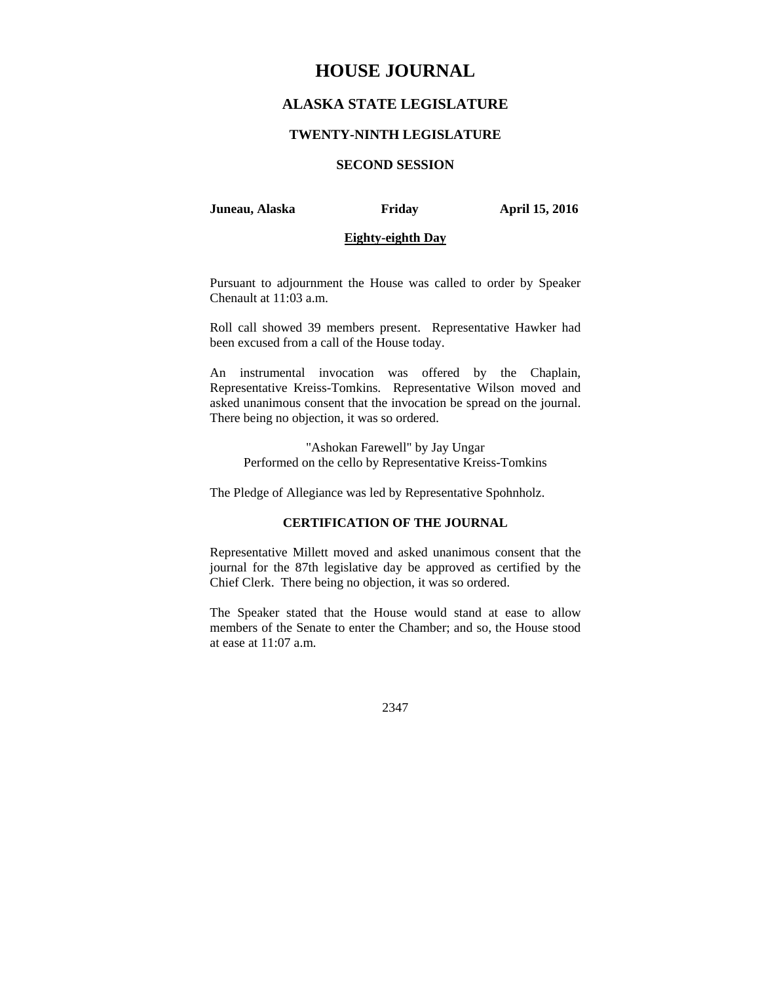# **HOUSE JOURNAL**

# **ALASKA STATE LEGISLATURE**

# **TWENTY-NINTH LEGISLATURE**

# **SECOND SESSION**

#### **Juneau, Alaska Friday April 15, 2016**

# **Eighty-eighth Day**

Pursuant to adjournment the House was called to order by Speaker Chenault at 11:03 a.m.

Roll call showed 39 members present. Representative Hawker had been excused from a call of the House today.

An instrumental invocation was offered by the Chaplain, Representative Kreiss-Tomkins. Representative Wilson moved and asked unanimous consent that the invocation be spread on the journal. There being no objection, it was so ordered.

"Ashokan Farewell" by Jay Ungar Performed on the cello by Representative Kreiss-Tomkins

The Pledge of Allegiance was led by Representative Spohnholz.

# **CERTIFICATION OF THE JOURNAL**

Representative Millett moved and asked unanimous consent that the journal for the 87th legislative day be approved as certified by the Chief Clerk. There being no objection, it was so ordered.

The Speaker stated that the House would stand at ease to allow members of the Senate to enter the Chamber; and so, the House stood at ease at 11:07 a.m.

2347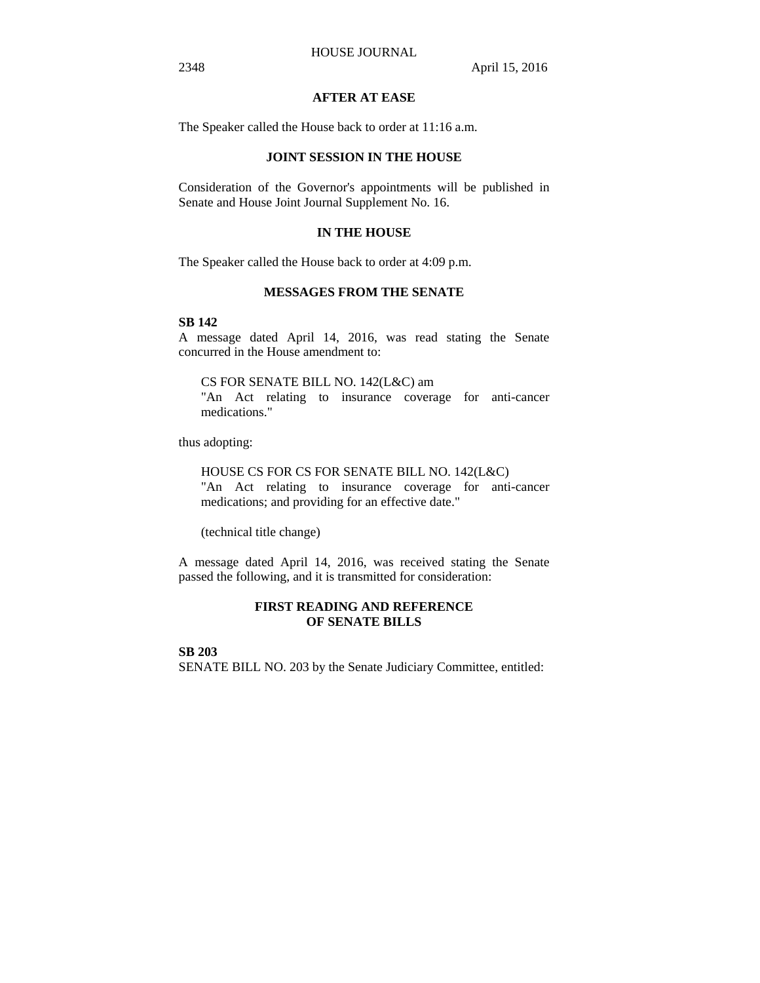# **AFTER AT EASE**

The Speaker called the House back to order at 11:16 a.m.

# **JOINT SESSION IN THE HOUSE**

Consideration of the Governor's appointments will be published in Senate and House Joint Journal Supplement No. 16.

# **IN THE HOUSE**

The Speaker called the House back to order at 4:09 p.m.

# **MESSAGES FROM THE SENATE**

## **SB 142**

A message dated April 14, 2016, was read stating the Senate concurred in the House amendment to:

CS FOR SENATE BILL NO. 142(L&C) am

"An Act relating to insurance coverage for anti-cancer medications."

thus adopting:

HOUSE CS FOR CS FOR SENATE BILL NO. 142(L&C) "An Act relating to insurance coverage for anti-cancer medications; and providing for an effective date."

(technical title change)

A message dated April 14, 2016, was received stating the Senate passed the following, and it is transmitted for consideration:

# **FIRST READING AND REFERENCE OF SENATE BILLS**

**SB 203** SENATE BILL NO. 203 by the Senate Judiciary Committee, entitled: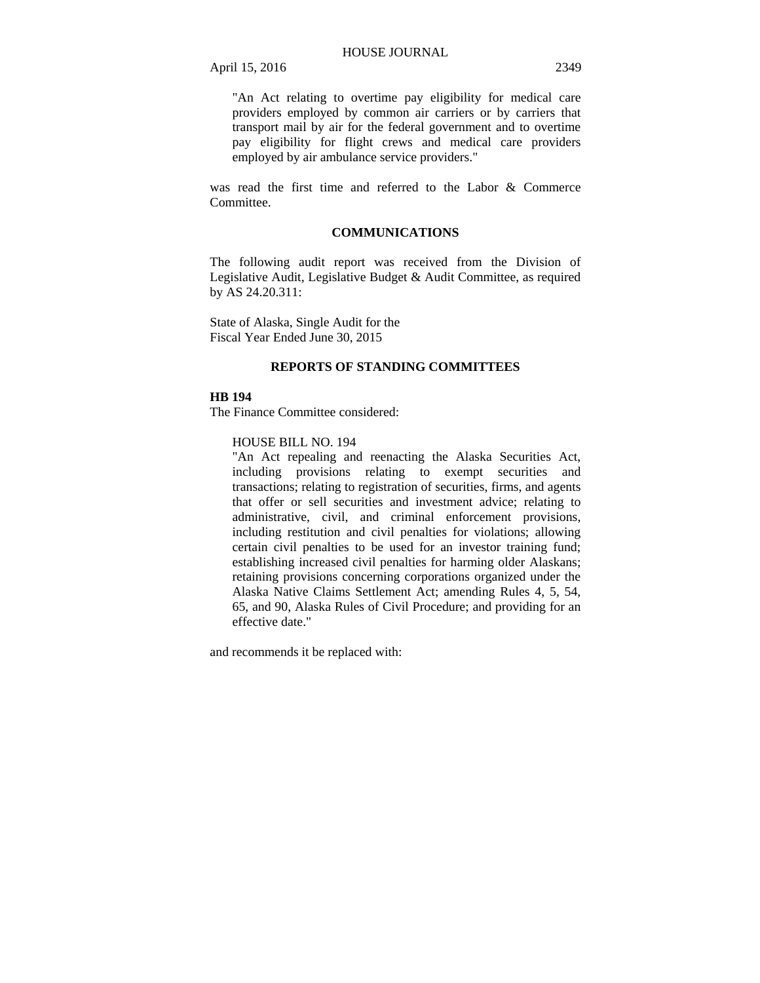"An Act relating to overtime pay eligibility for medical care providers employed by common air carriers or by carriers that transport mail by air for the federal government and to overtime pay eligibility for flight crews and medical care providers employed by air ambulance service providers."

was read the first time and referred to the Labor & Commerce Committee.

# **COMMUNICATIONS**

The following audit report was received from the Division of Legislative Audit, Legislative Budget & Audit Committee, as required by AS 24.20.311:

State of Alaska, Single Audit for the Fiscal Year Ended June 30, 2015

# **REPORTS OF STANDING COMMITTEES**

# **HB 194**

The Finance Committee considered:

#### HOUSE BILL NO. 194

"An Act repealing and reenacting the Alaska Securities Act, including provisions relating to exempt securities and transactions; relating to registration of securities, firms, and agents that offer or sell securities and investment advice; relating to administrative, civil, and criminal enforcement provisions, including restitution and civil penalties for violations; allowing certain civil penalties to be used for an investor training fund; establishing increased civil penalties for harming older Alaskans; retaining provisions concerning corporations organized under the Alaska Native Claims Settlement Act; amending Rules 4, 5, 54, 65, and 90, Alaska Rules of Civil Procedure; and providing for an effective date."

and recommends it be replaced with: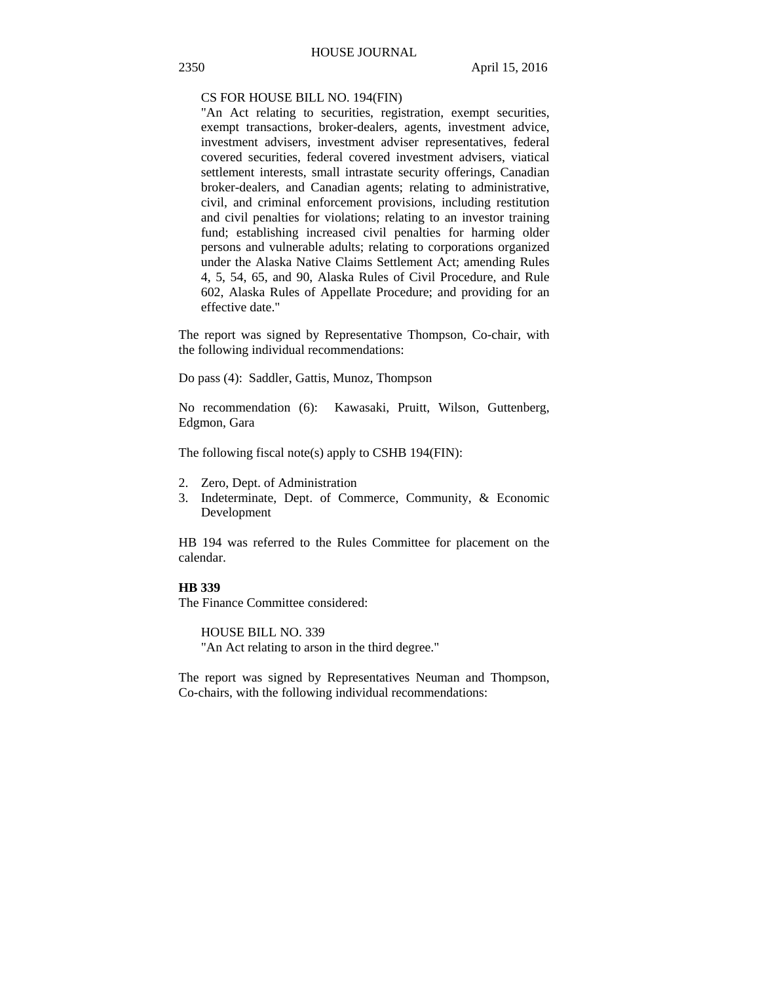CS FOR HOUSE BILL NO. 194(FIN)

"An Act relating to securities, registration, exempt securities, exempt transactions, broker-dealers, agents, investment advice, investment advisers, investment adviser representatives, federal covered securities, federal covered investment advisers, viatical settlement interests, small intrastate security offerings, Canadian broker-dealers, and Canadian agents; relating to administrative, civil, and criminal enforcement provisions, including restitution and civil penalties for violations; relating to an investor training fund; establishing increased civil penalties for harming older persons and vulnerable adults; relating to corporations organized under the Alaska Native Claims Settlement Act; amending Rules 4, 5, 54, 65, and 90, Alaska Rules of Civil Procedure, and Rule 602, Alaska Rules of Appellate Procedure; and providing for an effective date."

The report was signed by Representative Thompson, Co-chair, with the following individual recommendations:

Do pass (4): Saddler, Gattis, Munoz, Thompson

No recommendation (6): Kawasaki, Pruitt, Wilson, Guttenberg, Edgmon, Gara

The following fiscal note(s) apply to CSHB 194(FIN):

- 2. Zero, Dept. of Administration
- 3. Indeterminate, Dept. of Commerce, Community, & Economic Development

HB 194 was referred to the Rules Committee for placement on the calendar.

# **HB 339**

The Finance Committee considered:

HOUSE BILL NO. 339 "An Act relating to arson in the third degree."

The report was signed by Representatives Neuman and Thompson, Co-chairs, with the following individual recommendations: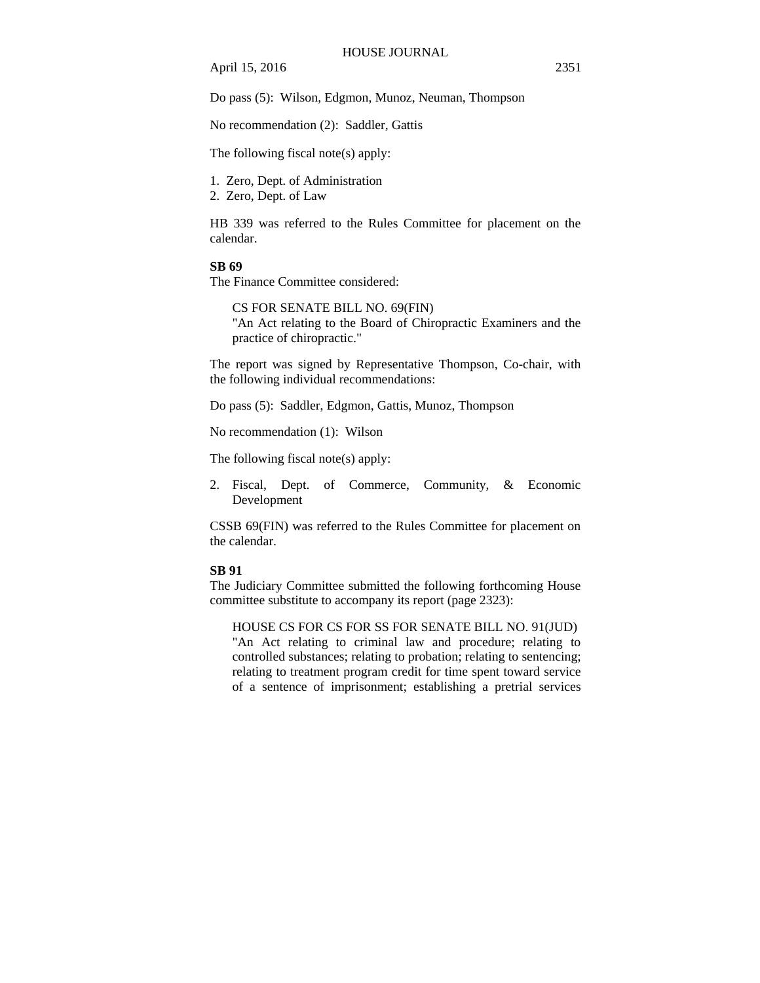Do pass (5): Wilson, Edgmon, Munoz, Neuman, Thompson

No recommendation (2): Saddler, Gattis

The following fiscal note(s) apply:

1. Zero, Dept. of Administration

2. Zero, Dept. of Law

HB 339 was referred to the Rules Committee for placement on the calendar.

# **SB 69**

The Finance Committee considered:

CS FOR SENATE BILL NO. 69(FIN) "An Act relating to the Board of Chiropractic Examiners and the practice of chiropractic."

The report was signed by Representative Thompson, Co-chair, with the following individual recommendations:

Do pass (5): Saddler, Edgmon, Gattis, Munoz, Thompson

No recommendation (1): Wilson

The following fiscal note(s) apply:

2. Fiscal, Dept. of Commerce, Community, & Economic Development

CSSB 69(FIN) was referred to the Rules Committee for placement on the calendar.

## **SB 91**

The Judiciary Committee submitted the following forthcoming House committee substitute to accompany its report (page 2323):

HOUSE CS FOR CS FOR SS FOR SENATE BILL NO. 91(JUD) "An Act relating to criminal law and procedure; relating to controlled substances; relating to probation; relating to sentencing; relating to treatment program credit for time spent toward service of a sentence of imprisonment; establishing a pretrial services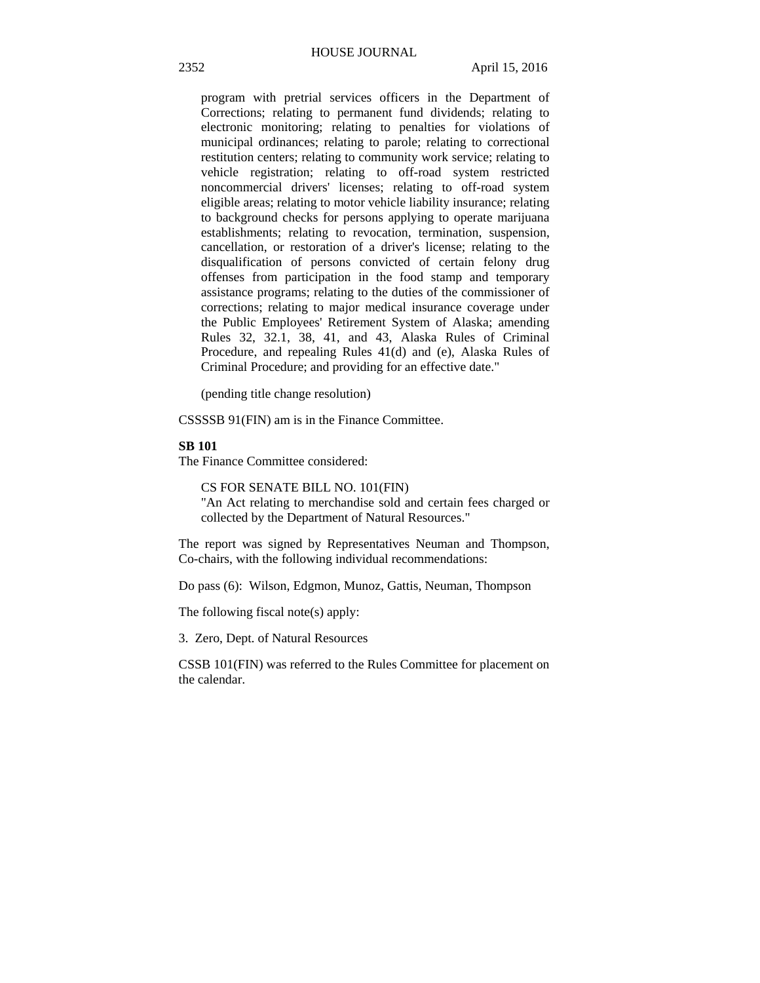program with pretrial services officers in the Department of Corrections; relating to permanent fund dividends; relating to electronic monitoring; relating to penalties for violations of municipal ordinances; relating to parole; relating to correctional restitution centers; relating to community work service; relating to vehicle registration; relating to off-road system restricted noncommercial drivers' licenses; relating to off-road system eligible areas; relating to motor vehicle liability insurance; relating to background checks for persons applying to operate marijuana establishments; relating to revocation, termination, suspension, cancellation, or restoration of a driver's license; relating to the disqualification of persons convicted of certain felony drug offenses from participation in the food stamp and temporary assistance programs; relating to the duties of the commissioner of corrections; relating to major medical insurance coverage under the Public Employees' Retirement System of Alaska; amending Rules 32, 32.1, 38, 41, and 43, Alaska Rules of Criminal Procedure, and repealing Rules 41(d) and (e), Alaska Rules of Criminal Procedure; and providing for an effective date."

(pending title change resolution)

CSSSSB 91(FIN) am is in the Finance Committee.

#### **SB 101**

The Finance Committee considered:

CS FOR SENATE BILL NO. 101(FIN)

"An Act relating to merchandise sold and certain fees charged or collected by the Department of Natural Resources."

The report was signed by Representatives Neuman and Thompson, Co-chairs, with the following individual recommendations:

Do pass (6): Wilson, Edgmon, Munoz, Gattis, Neuman, Thompson

The following fiscal note(s) apply:

3. Zero, Dept. of Natural Resources

CSSB 101(FIN) was referred to the Rules Committee for placement on the calendar.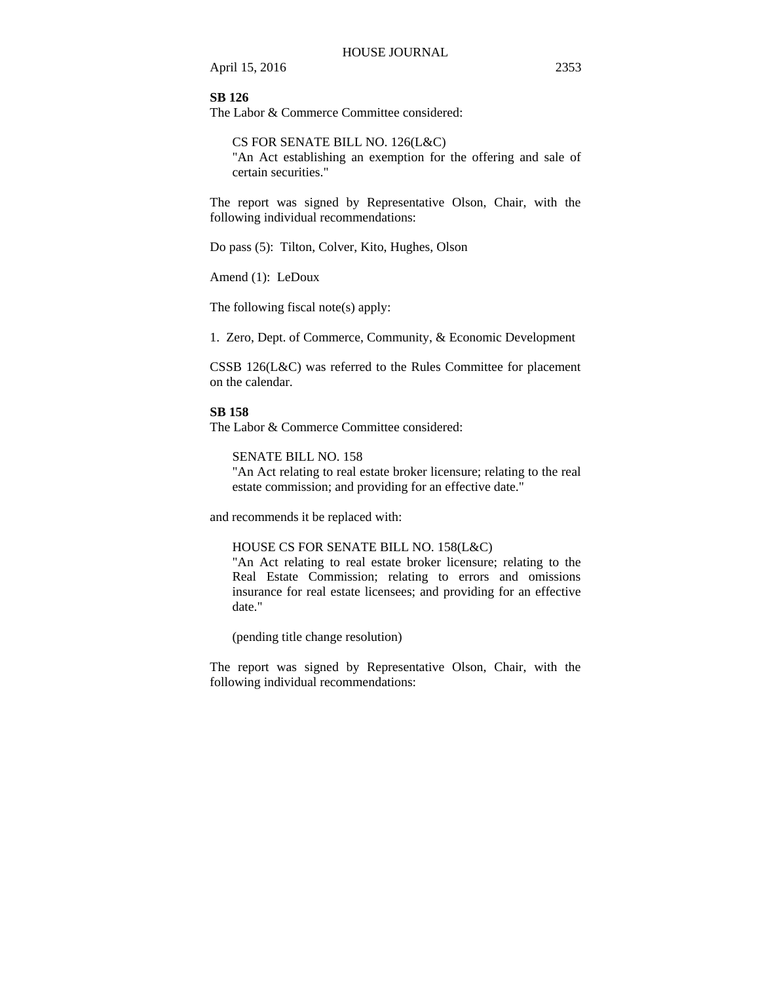**SB 126**

The Labor & Commerce Committee considered:

CS FOR SENATE BILL NO. 126(L&C) "An Act establishing an exemption for the offering and sale of certain securities."

The report was signed by Representative Olson, Chair, with the following individual recommendations:

Do pass (5): Tilton, Colver, Kito, Hughes, Olson

Amend (1): LeDoux

The following fiscal note(s) apply:

1. Zero, Dept. of Commerce, Community, & Economic Development

CSSB 126(L&C) was referred to the Rules Committee for placement on the calendar.

# **SB 158**

The Labor & Commerce Committee considered:

SENATE BILL NO. 158

"An Act relating to real estate broker licensure; relating to the real estate commission; and providing for an effective date."

and recommends it be replaced with:

## HOUSE CS FOR SENATE BILL NO. 158(L&C)

"An Act relating to real estate broker licensure; relating to the Real Estate Commission; relating to errors and omissions insurance for real estate licensees; and providing for an effective date."

(pending title change resolution)

The report was signed by Representative Olson, Chair, with the following individual recommendations: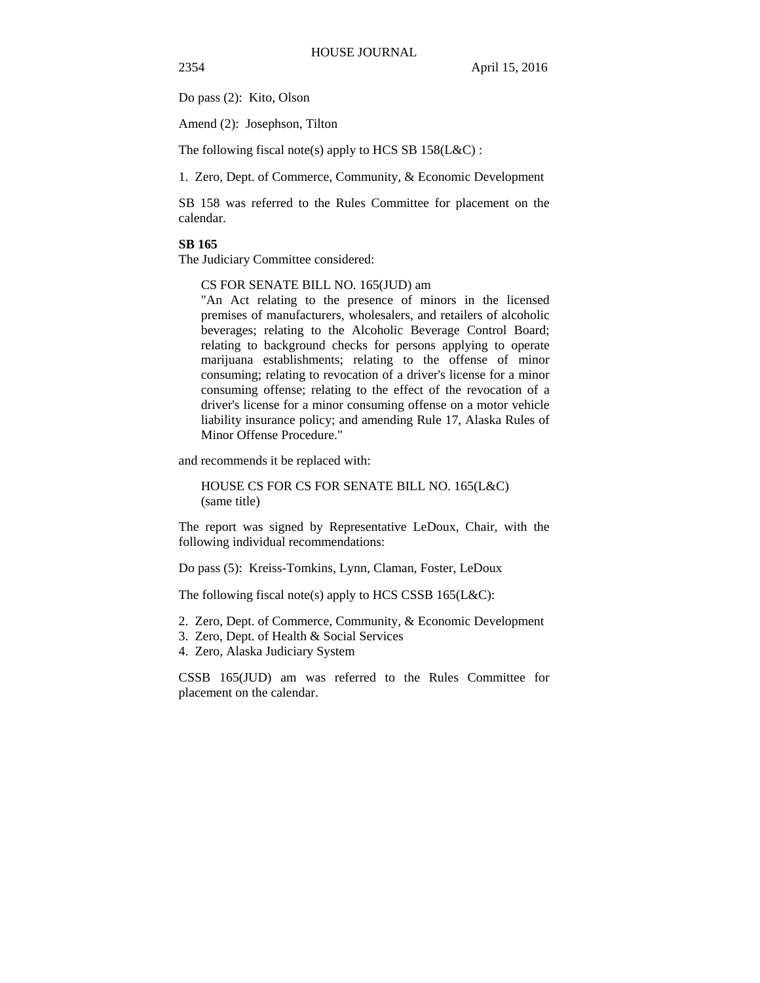Do pass (2): Kito, Olson

Amend (2): Josephson, Tilton

The following fiscal note(s) apply to HCS SB  $158$ (L&C) :

1. Zero, Dept. of Commerce, Community, & Economic Development

SB 158 was referred to the Rules Committee for placement on the calendar.

## **SB 165**

The Judiciary Committee considered:

CS FOR SENATE BILL NO. 165(JUD) am

"An Act relating to the presence of minors in the licensed premises of manufacturers, wholesalers, and retailers of alcoholic beverages; relating to the Alcoholic Beverage Control Board; relating to background checks for persons applying to operate marijuana establishments; relating to the offense of minor consuming; relating to revocation of a driver's license for a minor consuming offense; relating to the effect of the revocation of a driver's license for a minor consuming offense on a motor vehicle liability insurance policy; and amending Rule 17, Alaska Rules of Minor Offense Procedure."

and recommends it be replaced with:

HOUSE CS FOR CS FOR SENATE BILL NO. 165(L&C) (same title)

The report was signed by Representative LeDoux, Chair, with the following individual recommendations:

Do pass (5): Kreiss-Tomkins, Lynn, Claman, Foster, LeDoux

The following fiscal note(s) apply to HCS CSSB  $165(L&C)$ :

- 2. Zero, Dept. of Commerce, Community, & Economic Development
- 3. Zero, Dept. of Health & Social Services
- 4. Zero, Alaska Judiciary System

CSSB 165(JUD) am was referred to the Rules Committee for placement on the calendar.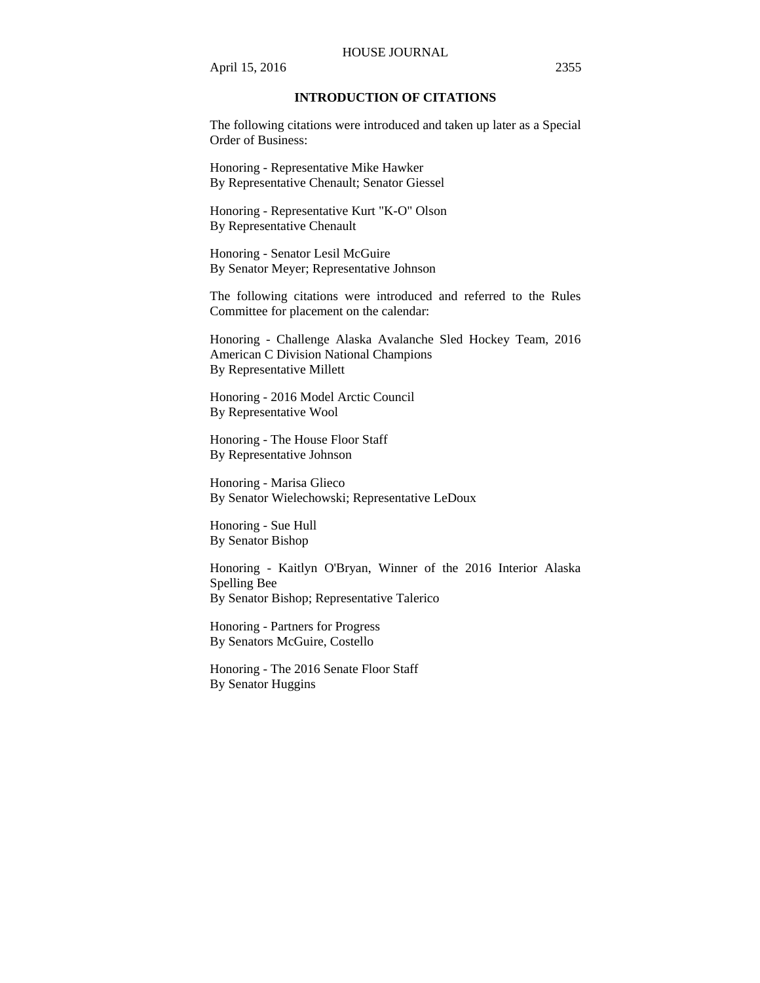#### HOUSE JOURNAL

April 15, 2016 2355

# **INTRODUCTION OF CITATIONS**

The following citations were introduced and taken up later as a Special Order of Business:

Honoring - Representative Mike Hawker By Representative Chenault; Senator Giessel

Honoring - Representative Kurt "K-O" Olson By Representative Chenault

Honoring - Senator Lesil McGuire By Senator Meyer; Representative Johnson

The following citations were introduced and referred to the Rules Committee for placement on the calendar:

Honoring - Challenge Alaska Avalanche Sled Hockey Team, 2016 American C Division National Champions By Representative Millett

Honoring - 2016 Model Arctic Council By Representative Wool

Honoring - The House Floor Staff By Representative Johnson

Honoring - Marisa Glieco By Senator Wielechowski; Representative LeDoux

Honoring - Sue Hull By Senator Bishop

Honoring - Kaitlyn O'Bryan, Winner of the 2016 Interior Alaska Spelling Bee By Senator Bishop; Representative Talerico

Honoring - Partners for Progress By Senators McGuire, Costello

Honoring - The 2016 Senate Floor Staff By Senator Huggins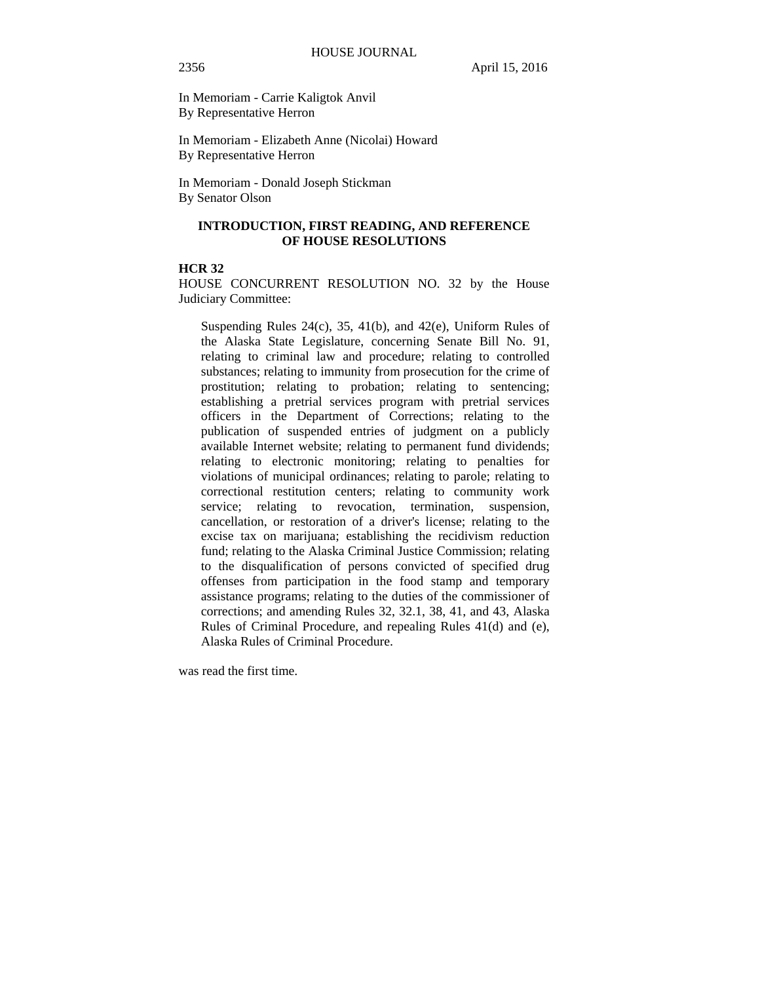In Memoriam - Carrie Kaligtok Anvil By Representative Herron

In Memoriam - Elizabeth Anne (Nicolai) Howard By Representative Herron

In Memoriam - Donald Joseph Stickman By Senator Olson

# **INTRODUCTION, FIRST READING, AND REFERENCE OF HOUSE RESOLUTIONS**

# **HCR 32**

HOUSE CONCURRENT RESOLUTION NO. 32 by the House Judiciary Committee:

Suspending Rules 24(c), 35, 41(b), and 42(e), Uniform Rules of the Alaska State Legislature, concerning Senate Bill No. 91, relating to criminal law and procedure; relating to controlled substances; relating to immunity from prosecution for the crime of prostitution; relating to probation; relating to sentencing; establishing a pretrial services program with pretrial services officers in the Department of Corrections; relating to the publication of suspended entries of judgment on a publicly available Internet website; relating to permanent fund dividends; relating to electronic monitoring; relating to penalties for violations of municipal ordinances; relating to parole; relating to correctional restitution centers; relating to community work service; relating to revocation, termination, suspension, cancellation, or restoration of a driver's license; relating to the excise tax on marijuana; establishing the recidivism reduction fund; relating to the Alaska Criminal Justice Commission; relating to the disqualification of persons convicted of specified drug offenses from participation in the food stamp and temporary assistance programs; relating to the duties of the commissioner of corrections; and amending Rules 32, 32.1, 38, 41, and 43, Alaska Rules of Criminal Procedure, and repealing Rules 41(d) and (e), Alaska Rules of Criminal Procedure.

was read the first time.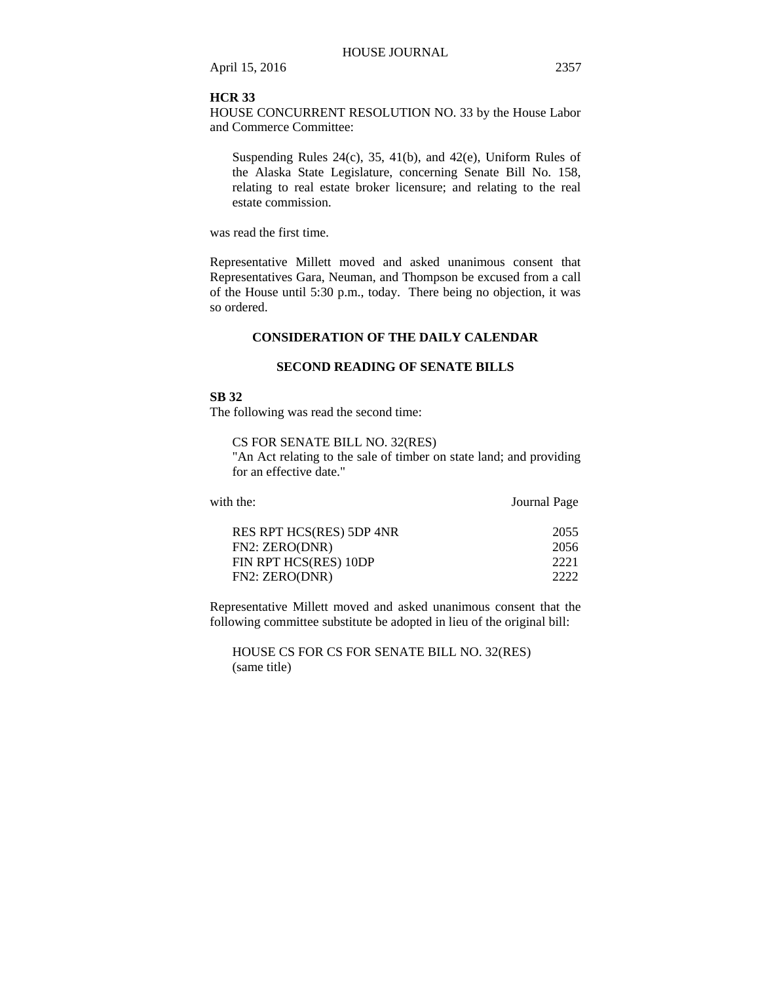## **HCR 33**

HOUSE CONCURRENT RESOLUTION NO. 33 by the House Labor and Commerce Committee:

Suspending Rules 24(c), 35, 41(b), and 42(e), Uniform Rules of the Alaska State Legislature, concerning Senate Bill No. 158, relating to real estate broker licensure; and relating to the real estate commission.

was read the first time.

Representative Millett moved and asked unanimous consent that Representatives Gara, Neuman, and Thompson be excused from a call of the House until 5:30 p.m., today. There being no objection, it was so ordered.

# **CONSIDERATION OF THE DAILY CALENDAR**

### **SECOND READING OF SENATE BILLS**

# **SB 32**

The following was read the second time:

CS FOR SENATE BILL NO. 32(RES)

"An Act relating to the sale of timber on state land; and providing for an effective date."

| with the:                | Journal Page |
|--------------------------|--------------|
| RES RPT HCS(RES) 5DP 4NR | 2055         |
| FN2: ZERO(DNR)           | 2056         |
| FIN RPT HCS(RES) 10DP    | 2221         |
| FN2: ZERO(DNR)           | 2222         |

Representative Millett moved and asked unanimous consent that the following committee substitute be adopted in lieu of the original bill:

HOUSE CS FOR CS FOR SENATE BILL NO. 32(RES) (same title)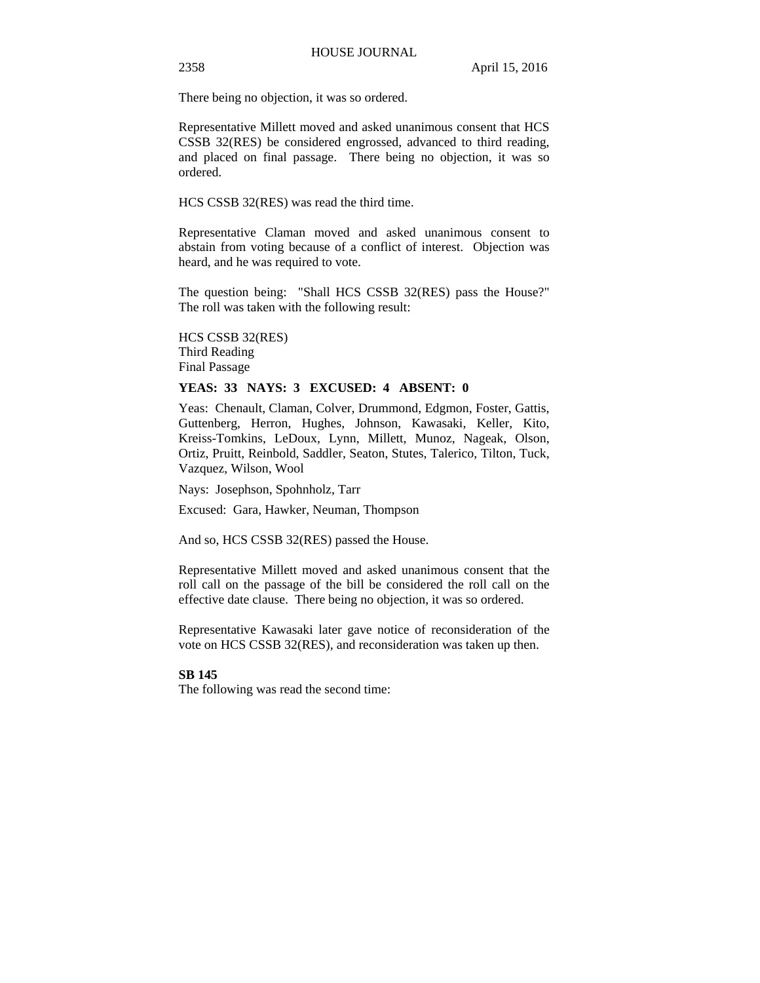There being no objection, it was so ordered.

Representative Millett moved and asked unanimous consent that HCS CSSB 32(RES) be considered engrossed, advanced to third reading, and placed on final passage. There being no objection, it was so ordered.

HCS CSSB 32(RES) was read the third time.

Representative Claman moved and asked unanimous consent to abstain from voting because of a conflict of interest. Objection was heard, and he was required to vote.

The question being: "Shall HCS CSSB 32(RES) pass the House?" The roll was taken with the following result:

HCS CSSB 32(RES) Third Reading Final Passage

# **YEAS: 33 NAYS: 3 EXCUSED: 4 ABSENT: 0**

Yeas: Chenault, Claman, Colver, Drummond, Edgmon, Foster, Gattis, Guttenberg, Herron, Hughes, Johnson, Kawasaki, Keller, Kito, Kreiss-Tomkins, LeDoux, Lynn, Millett, Munoz, Nageak, Olson, Ortiz, Pruitt, Reinbold, Saddler, Seaton, Stutes, Talerico, Tilton, Tuck, Vazquez, Wilson, Wool

Nays: Josephson, Spohnholz, Tarr

Excused: Gara, Hawker, Neuman, Thompson

And so, HCS CSSB 32(RES) passed the House.

Representative Millett moved and asked unanimous consent that the roll call on the passage of the bill be considered the roll call on the effective date clause. There being no objection, it was so ordered.

Representative Kawasaki later gave notice of reconsideration of the vote on HCS CSSB 32(RES), and reconsideration was taken up then.

# **SB 145**

The following was read the second time: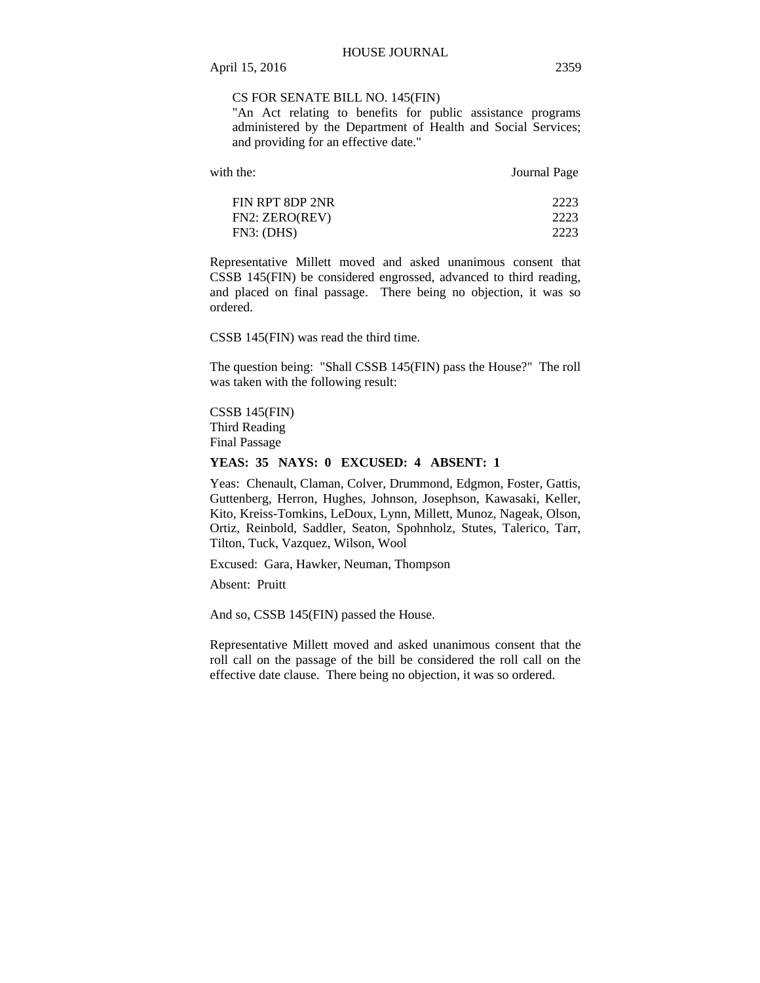# CS FOR SENATE BILL NO. 145(FIN)

"An Act relating to benefits for public assistance programs administered by the Department of Health and Social Services; and providing for an effective date."

| with the:                         | Journal Page         |
|-----------------------------------|----------------------|
| FIN RPT 8DP 2NR<br>FN2: ZERO(REV) | 2223<br>2223<br>2223 |
| FN3: (DHS)                        |                      |

Representative Millett moved and asked unanimous consent that CSSB 145(FIN) be considered engrossed, advanced to third reading, and placed on final passage. There being no objection, it was so ordered.

CSSB 145(FIN) was read the third time.

The question being: "Shall CSSB 145(FIN) pass the House?" The roll was taken with the following result:

CSSB 145(FIN) Third Reading Final Passage

## **YEAS: 35 NAYS: 0 EXCUSED: 4 ABSENT: 1**

Yeas: Chenault, Claman, Colver, Drummond, Edgmon, Foster, Gattis, Guttenberg, Herron, Hughes, Johnson, Josephson, Kawasaki, Keller, Kito, Kreiss-Tomkins, LeDoux, Lynn, Millett, Munoz, Nageak, Olson, Ortiz, Reinbold, Saddler, Seaton, Spohnholz, Stutes, Talerico, Tarr, Tilton, Tuck, Vazquez, Wilson, Wool

Excused: Gara, Hawker, Neuman, Thompson

Absent: Pruitt

And so, CSSB 145(FIN) passed the House.

Representative Millett moved and asked unanimous consent that the roll call on the passage of the bill be considered the roll call on the effective date clause. There being no objection, it was so ordered.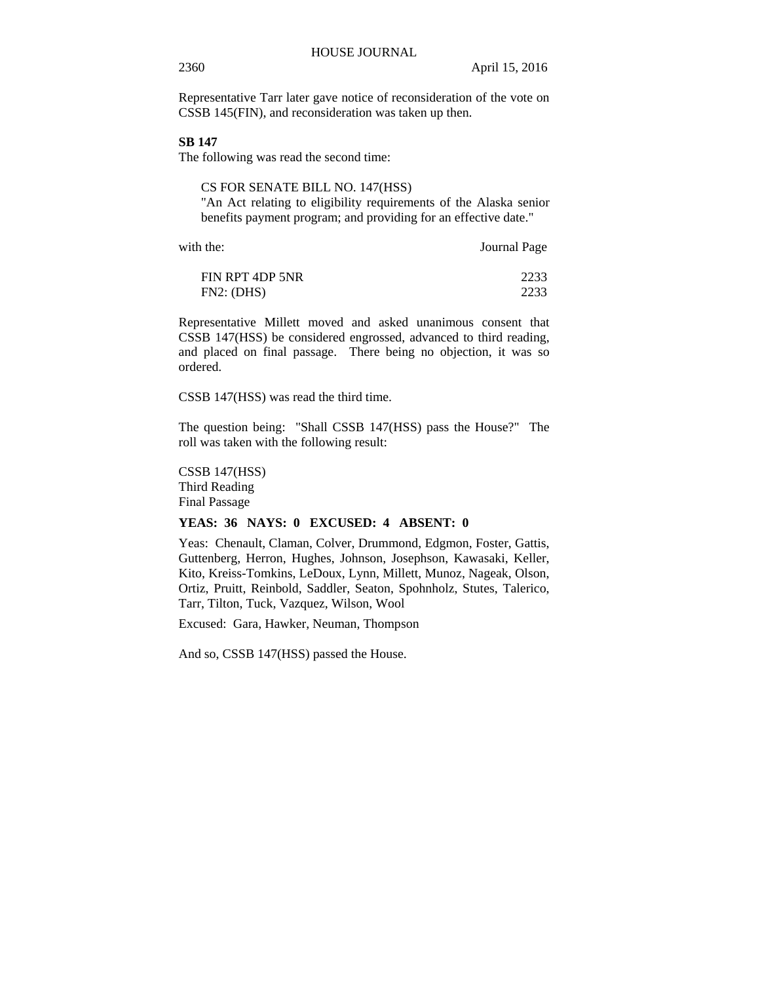Representative Tarr later gave notice of reconsideration of the vote on CSSB 145(FIN), and reconsideration was taken up then.

# **SB 147**

The following was read the second time:

CS FOR SENATE BILL NO. 147(HSS) "An Act relating to eligibility requirements of the Alaska senior benefits payment program; and providing for an effective date."

with the: **Journal Page** 

| FIN RPT 4DP 5NR | 2233 |
|-----------------|------|
| FN2: (DHS)      | 2233 |

Representative Millett moved and asked unanimous consent that CSSB 147(HSS) be considered engrossed, advanced to third reading, and placed on final passage. There being no objection, it was so ordered.

CSSB 147(HSS) was read the third time.

The question being: "Shall CSSB 147(HSS) pass the House?" The roll was taken with the following result:

CSSB 147(HSS) Third Reading Final Passage

# **YEAS: 36 NAYS: 0 EXCUSED: 4 ABSENT: 0**

Yeas: Chenault, Claman, Colver, Drummond, Edgmon, Foster, Gattis, Guttenberg, Herron, Hughes, Johnson, Josephson, Kawasaki, Keller, Kito, Kreiss-Tomkins, LeDoux, Lynn, Millett, Munoz, Nageak, Olson, Ortiz, Pruitt, Reinbold, Saddler, Seaton, Spohnholz, Stutes, Talerico, Tarr, Tilton, Tuck, Vazquez, Wilson, Wool

Excused: Gara, Hawker, Neuman, Thompson

And so, CSSB 147(HSS) passed the House.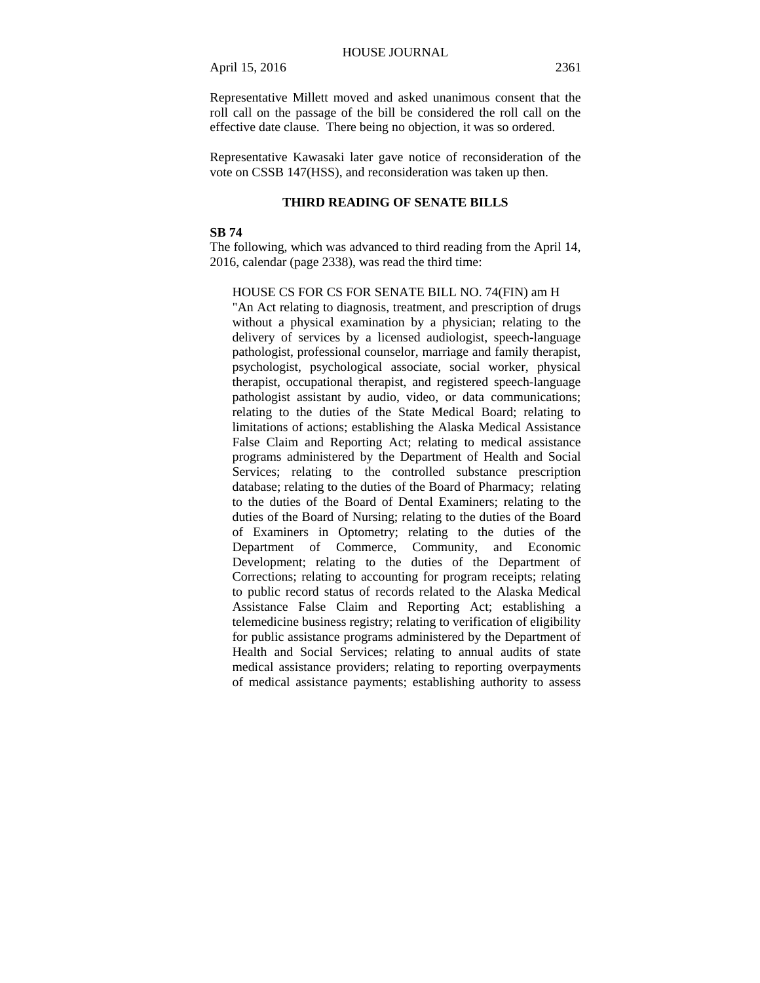Representative Millett moved and asked unanimous consent that the roll call on the passage of the bill be considered the roll call on the effective date clause. There being no objection, it was so ordered.

Representative Kawasaki later gave notice of reconsideration of the vote on CSSB 147(HSS), and reconsideration was taken up then.

# **THIRD READING OF SENATE BILLS**

# **SB 74**

The following, which was advanced to third reading from the April 14, 2016, calendar (page 2338), was read the third time:

HOUSE CS FOR CS FOR SENATE BILL NO. 74(FIN) am H

"An Act relating to diagnosis, treatment, and prescription of drugs without a physical examination by a physician; relating to the delivery of services by a licensed audiologist, speech-language pathologist, professional counselor, marriage and family therapist, psychologist, psychological associate, social worker, physical therapist, occupational therapist, and registered speech-language pathologist assistant by audio, video, or data communications; relating to the duties of the State Medical Board; relating to limitations of actions; establishing the Alaska Medical Assistance False Claim and Reporting Act; relating to medical assistance programs administered by the Department of Health and Social Services; relating to the controlled substance prescription database; relating to the duties of the Board of Pharmacy; relating to the duties of the Board of Dental Examiners; relating to the duties of the Board of Nursing; relating to the duties of the Board of Examiners in Optometry; relating to the duties of the Department of Commerce, Community, and Economic Development; relating to the duties of the Department of Corrections; relating to accounting for program receipts; relating to public record status of records related to the Alaska Medical Assistance False Claim and Reporting Act; establishing a telemedicine business registry; relating to verification of eligibility for public assistance programs administered by the Department of Health and Social Services; relating to annual audits of state medical assistance providers; relating to reporting overpayments of medical assistance payments; establishing authority to assess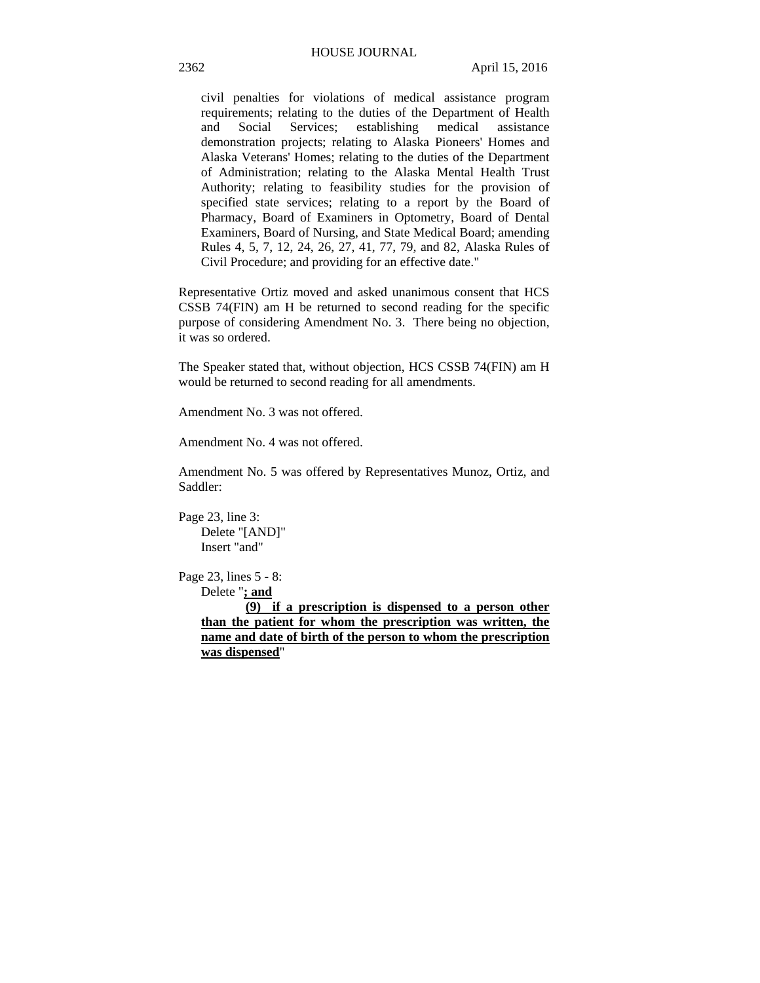civil penalties for violations of medical assistance program requirements; relating to the duties of the Department of Health and Social Services; establishing medical assistance demonstration projects; relating to Alaska Pioneers' Homes and Alaska Veterans' Homes; relating to the duties of the Department of Administration; relating to the Alaska Mental Health Trust Authority; relating to feasibility studies for the provision of specified state services; relating to a report by the Board of Pharmacy, Board of Examiners in Optometry, Board of Dental Examiners, Board of Nursing, and State Medical Board; amending Rules 4, 5, 7, 12, 24, 26, 27, 41, 77, 79, and 82, Alaska Rules of Civil Procedure; and providing for an effective date."

Representative Ortiz moved and asked unanimous consent that HCS CSSB 74(FIN) am H be returned to second reading for the specific purpose of considering Amendment No. 3. There being no objection, it was so ordered.

The Speaker stated that, without objection, HCS CSSB 74(FIN) am H would be returned to second reading for all amendments.

Amendment No. 3 was not offered.

Amendment No. 4 was not offered.

Amendment No. 5 was offered by Representatives Munoz, Ortiz, and Saddler:

Page 23, line 3: Delete "[AND]" Insert "and"

Page 23, lines 5 - 8:

Delete "**; and**

**(9) if a prescription is dispensed to a person other than the patient for whom the prescription was written, the name and date of birth of the person to whom the prescription was dispensed**"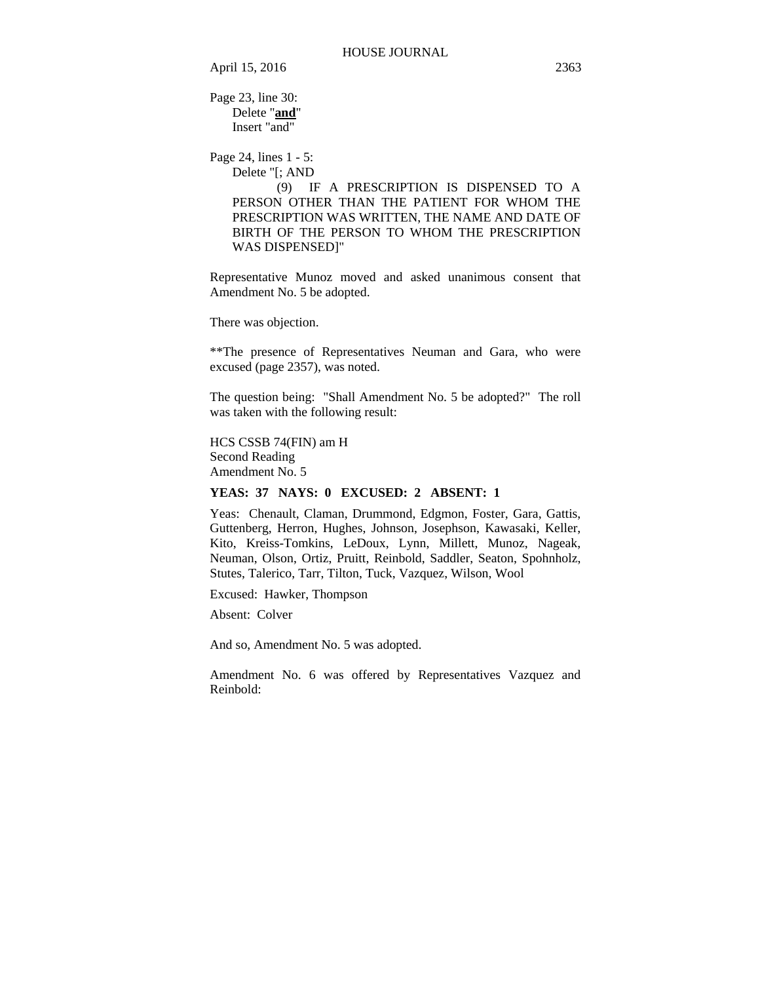Page 23, line 30: Delete "**and**" Insert "and"

Page 24, lines 1 - 5: Delete "[; AND

> (9) IF A PRESCRIPTION IS DISPENSED TO A PERSON OTHER THAN THE PATIENT FOR WHOM THE PRESCRIPTION WAS WRITTEN, THE NAME AND DATE OF BIRTH OF THE PERSON TO WHOM THE PRESCRIPTION WAS DISPENSED]"

Representative Munoz moved and asked unanimous consent that Amendment No. 5 be adopted.

There was objection.

\*\*The presence of Representatives Neuman and Gara, who were excused (page 2357), was noted.

The question being: "Shall Amendment No. 5 be adopted?" The roll was taken with the following result:

HCS CSSB 74(FIN) am H Second Reading Amendment No. 5

**YEAS: 37 NAYS: 0 EXCUSED: 2 ABSENT: 1** 

Yeas: Chenault, Claman, Drummond, Edgmon, Foster, Gara, Gattis, Guttenberg, Herron, Hughes, Johnson, Josephson, Kawasaki, Keller, Kito, Kreiss-Tomkins, LeDoux, Lynn, Millett, Munoz, Nageak, Neuman, Olson, Ortiz, Pruitt, Reinbold, Saddler, Seaton, Spohnholz, Stutes, Talerico, Tarr, Tilton, Tuck, Vazquez, Wilson, Wool

Excused: Hawker, Thompson

Absent: Colver

And so, Amendment No. 5 was adopted.

Amendment No. 6 was offered by Representatives Vazquez and Reinbold: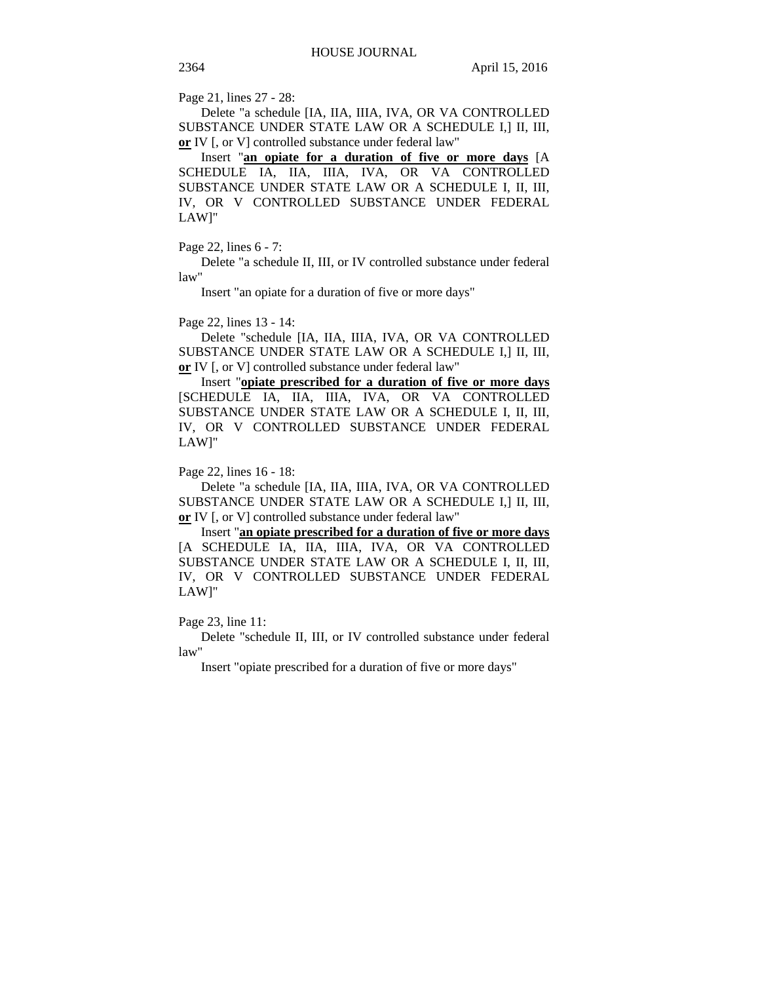Page 21, lines 27 - 28:

Delete "a schedule [IA, IIA, IIIA, IVA, OR VA CONTROLLED SUBSTANCE UNDER STATE LAW OR A SCHEDULE I,] II, III, **or** IV [, or V] controlled substance under federal law"

Insert "**an opiate for a duration of five or more days** [A SCHEDULE IA, IIA, IIIA, IVA, OR VA CONTROLLED SUBSTANCE UNDER STATE LAW OR A SCHEDULE I, II, III, IV, OR V CONTROLLED SUBSTANCE UNDER FEDERAL LAW]"

# Page 22, lines 6 - 7:

Delete "a schedule II, III, or IV controlled substance under federal law"

Insert "an opiate for a duration of five or more days"

#### Page 22, lines 13 - 14:

Delete "schedule [IA, IIA, IIIA, IVA, OR VA CONTROLLED SUBSTANCE UNDER STATE LAW OR A SCHEDULE I,] II, III, **or** IV [, or V] controlled substance under federal law"

Insert "**opiate prescribed for a duration of five or more days** [SCHEDULE IA, IIA, IIIA, IVA, OR VA CONTROLLED SUBSTANCE UNDER STATE LAW OR A SCHEDULE I, II, III, IV, OR V CONTROLLED SUBSTANCE UNDER FEDERAL LAW]"

#### Page 22, lines 16 - 18:

Delete "a schedule [IA, IIA, IIIA, IVA, OR VA CONTROLLED SUBSTANCE UNDER STATE LAW OR A SCHEDULE I,] II, III, **or** IV [, or V] controlled substance under federal law"

Insert "**an opiate prescribed for a duration of five or more days** [A SCHEDULE IA, IIA, IIIA, IVA, OR VA CONTROLLED SUBSTANCE UNDER STATE LAW OR A SCHEDULE I, II, III, IV, OR V CONTROLLED SUBSTANCE UNDER FEDERAL LAW]"

## Page 23, line 11:

Delete "schedule II, III, or IV controlled substance under federal law"

Insert "opiate prescribed for a duration of five or more days"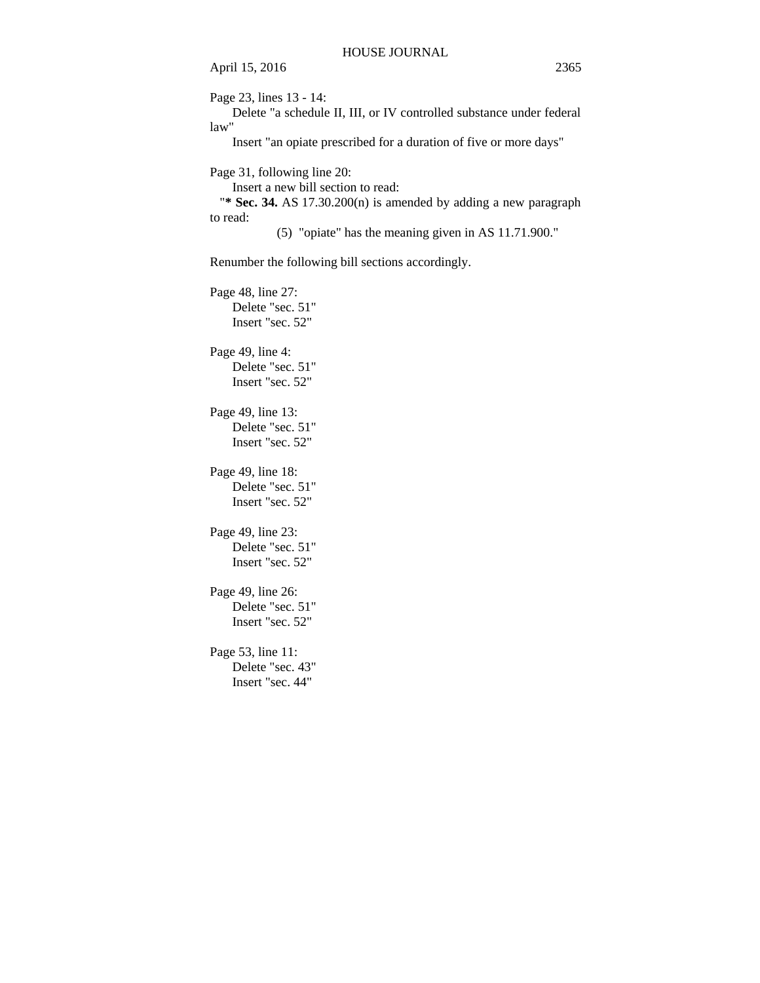April 15, 2016 2365 Page 23, lines 13 - 14: Delete "a schedule II, III, or IV controlled substance under federal law" Insert "an opiate prescribed for a duration of five or more days" Page 31, following line 20: Insert a new bill section to read: "**\* Sec. 34.** AS 17.30.200(n) is amended by adding a new paragraph to read: (5) "opiate" has the meaning given in AS 11.71.900." Renumber the following bill sections accordingly.

Page 48, line 27: Delete "sec. 51" Insert "sec. 52" Page 49, line 4: Delete "sec. 51" Insert "sec. 52" Page 49, line 13: Delete "sec. 51" Insert "sec. 52" Page 49, line 18: Delete "sec. 51" Insert "sec. 52" Page 49, line 23: Delete "sec. 51" Insert "sec. 52" Page 49, line 26: Delete "sec. 51" Insert "sec. 52" Page 53, line 11: Delete "sec. 43"

Insert "sec. 44"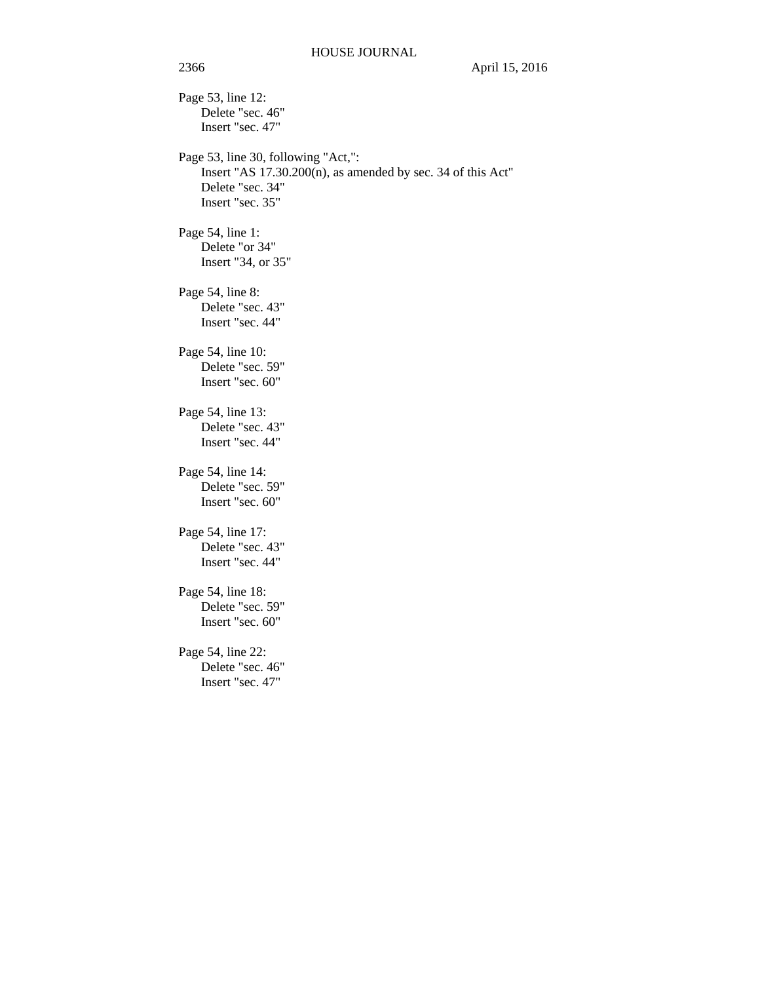Page 53, line 12: Delete "sec. 46" Insert "sec. 47" Page 53, line 30, following "Act,": Insert "AS 17.30.200(n), as amended by sec. 34 of this Act" Delete "sec. 34" Insert "sec. 35" Page 54, line 1: Delete "or 34" Insert "34, or 35" Page 54, line 8: Delete "sec. 43" Insert "sec. 44" Page 54, line 10: Delete "sec. 59" Insert "sec. 60" Page 54, line 13: Delete "sec. 43" Insert "sec. 44" Page 54, line 14: Delete "sec. 59" Insert "sec. 60" Page 54, line 17: Delete "sec. 43" Insert "sec. 44" Page 54, line 18: Delete "sec. 59" Insert "sec. 60" Page 54, line 22: Delete "sec. 46" Insert "sec. 47"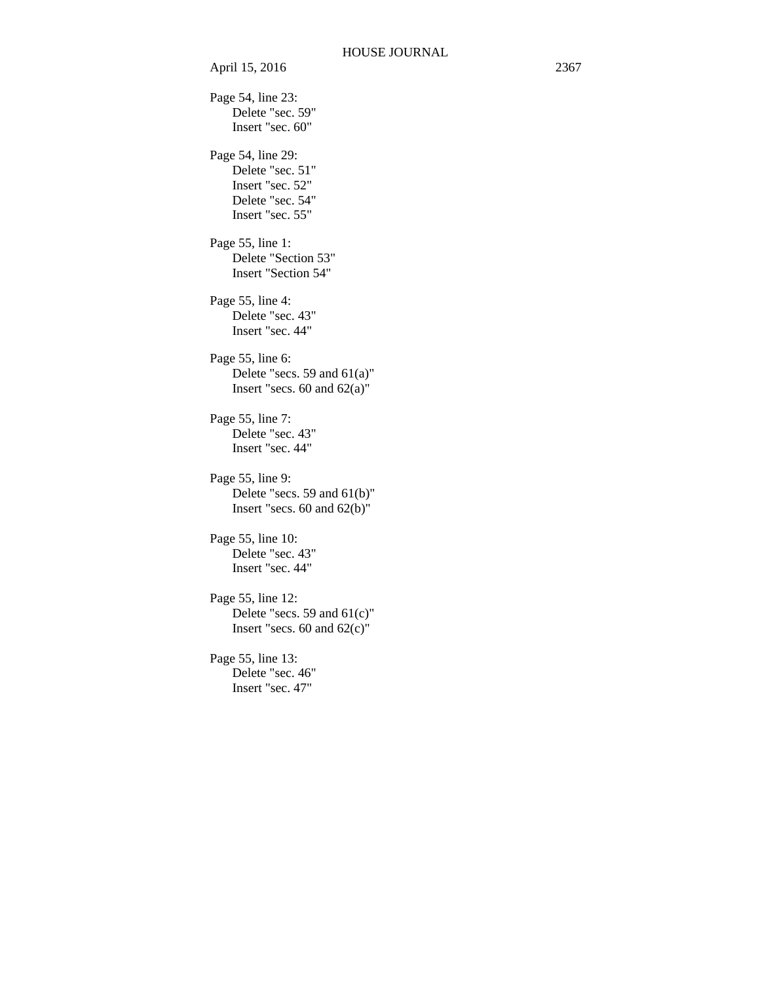Page 54, line 23: Delete "sec. 59" Insert "sec. 60" Page 54, line 29: Delete "sec. 51" Insert "sec. 52" Delete "sec. 54" Insert "sec. 55" Page 55, line 1: Delete "Section 53" Insert "Section 54" Page 55, line 4: Delete "sec. 43" Insert "sec. 44" Page 55, line 6: Delete "secs. 59 and 61(a)" Insert "secs. 60 and 62(a)" Page 55, line 7: Delete "sec. 43" Insert "sec. 44" Page 55, line 9: Delete "secs. 59 and 61(b)" Insert "secs. 60 and 62(b)" Page 55, line 10: Delete "sec. 43" Insert "sec. 44" Page 55, line 12: Delete "secs. 59 and 61(c)" Insert "secs. 60 and 62(c)" Page 55, line 13: Delete "sec. 46" Insert "sec. 47"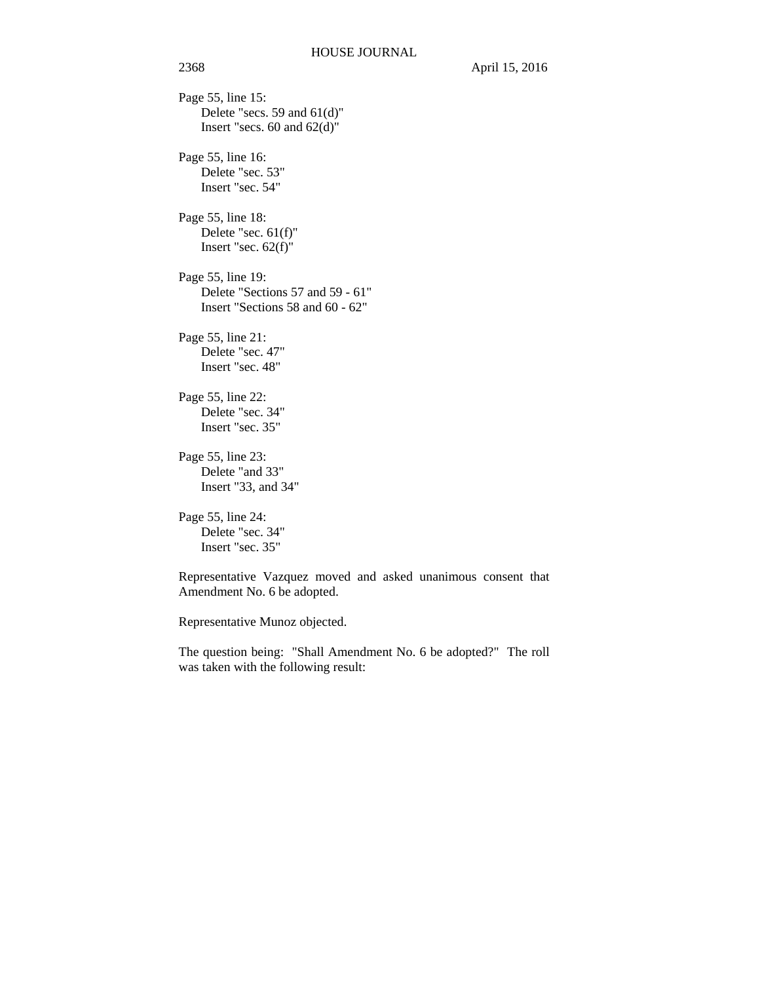Page 55, line 15: Delete "secs. 59 and 61(d)" Insert "secs.  $60$  and  $62(d)$ " Page 55, line 16: Delete "sec. 53" Insert "sec. 54" Page 55, line 18: Delete "sec. 61(f)" Insert "sec. 62(f)" Page 55, line 19: Delete "Sections 57 and 59 - 61" Insert "Sections 58 and 60 - 62" Page 55, line 21: Delete "sec. 47" Insert "sec. 48" Page 55, line 22: Delete "sec. 34" Insert "sec. 35" Page 55, line 23: Delete "and 33" Insert "33, and 34"

Page 55, line 24: Delete "sec. 34" Insert "sec. 35"

Representative Vazquez moved and asked unanimous consent that Amendment No. 6 be adopted.

Representative Munoz objected.

The question being: "Shall Amendment No. 6 be adopted?" The roll was taken with the following result: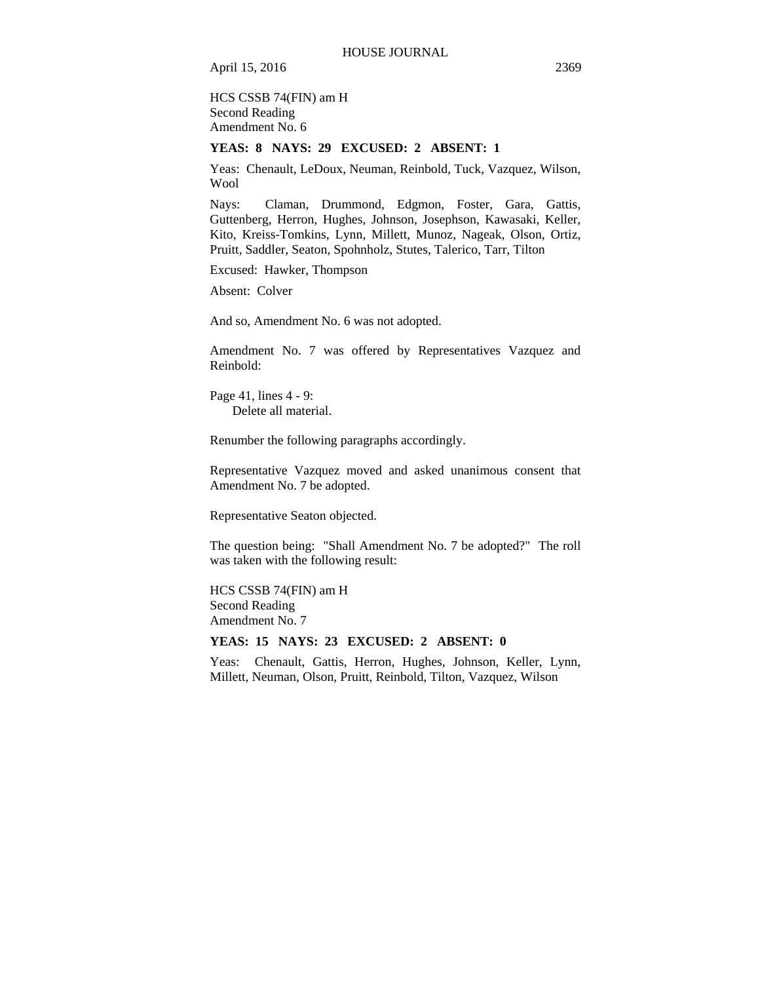HCS CSSB 74(FIN) am H Second Reading Amendment No. 6

### **YEAS: 8 NAYS: 29 EXCUSED: 2 ABSENT: 1**

Yeas: Chenault, LeDoux, Neuman, Reinbold, Tuck, Vazquez, Wilson, Wool

Nays: Claman, Drummond, Edgmon, Foster, Gara, Gattis, Guttenberg, Herron, Hughes, Johnson, Josephson, Kawasaki, Keller, Kito, Kreiss-Tomkins, Lynn, Millett, Munoz, Nageak, Olson, Ortiz, Pruitt, Saddler, Seaton, Spohnholz, Stutes, Talerico, Tarr, Tilton

Excused: Hawker, Thompson

Absent: Colver

And so, Amendment No. 6 was not adopted.

Amendment No. 7 was offered by Representatives Vazquez and Reinbold:

Page 41, lines 4 - 9: Delete all material.

Renumber the following paragraphs accordingly.

Representative Vazquez moved and asked unanimous consent that Amendment No. 7 be adopted.

Representative Seaton objected.

The question being: "Shall Amendment No. 7 be adopted?" The roll was taken with the following result:

HCS CSSB 74(FIN) am H Second Reading Amendment No. 7

**YEAS: 15 NAYS: 23 EXCUSED: 2 ABSENT: 0** 

Yeas: Chenault, Gattis, Herron, Hughes, Johnson, Keller, Lynn, Millett, Neuman, Olson, Pruitt, Reinbold, Tilton, Vazquez, Wilson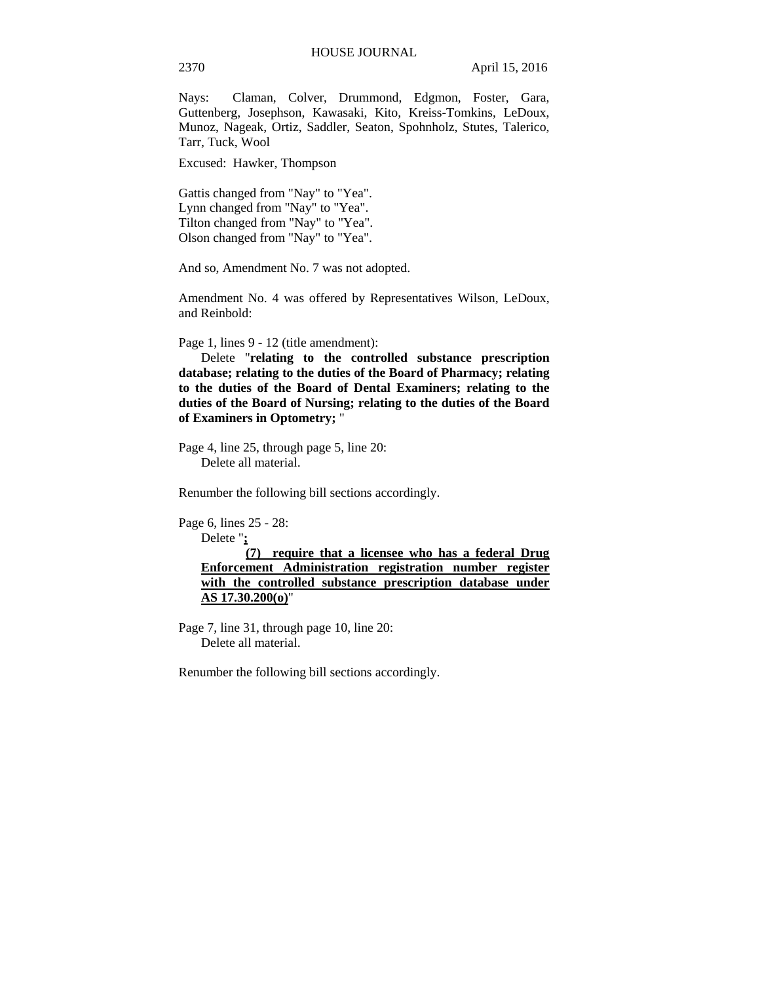Nays: Claman, Colver, Drummond, Edgmon, Foster, Gara, Guttenberg, Josephson, Kawasaki, Kito, Kreiss-Tomkins, LeDoux, Munoz, Nageak, Ortiz, Saddler, Seaton, Spohnholz, Stutes, Talerico, Tarr, Tuck, Wool

Excused: Hawker, Thompson

Gattis changed from "Nay" to "Yea". Lynn changed from "Nay" to "Yea". Tilton changed from "Nay" to "Yea". Olson changed from "Nay" to "Yea".

And so, Amendment No. 7 was not adopted.

Amendment No. 4 was offered by Representatives Wilson, LeDoux, and Reinbold:

Page 1, lines 9 - 12 (title amendment):

Delete "**relating to the controlled substance prescription database; relating to the duties of the Board of Pharmacy; relating to the duties of the Board of Dental Examiners; relating to the duties of the Board of Nursing; relating to the duties of the Board of Examiners in Optometry;** "

Page 4, line 25, through page 5, line 20: Delete all material.

Renumber the following bill sections accordingly.

Page 6, lines 25 - 28:

Delete "**;**

**(7) require that a licensee who has a federal Drug Enforcement Administration registration number register with the controlled substance prescription database under AS 17.30.200(o)**"

Page 7, line 31, through page 10, line 20: Delete all material.

Renumber the following bill sections accordingly.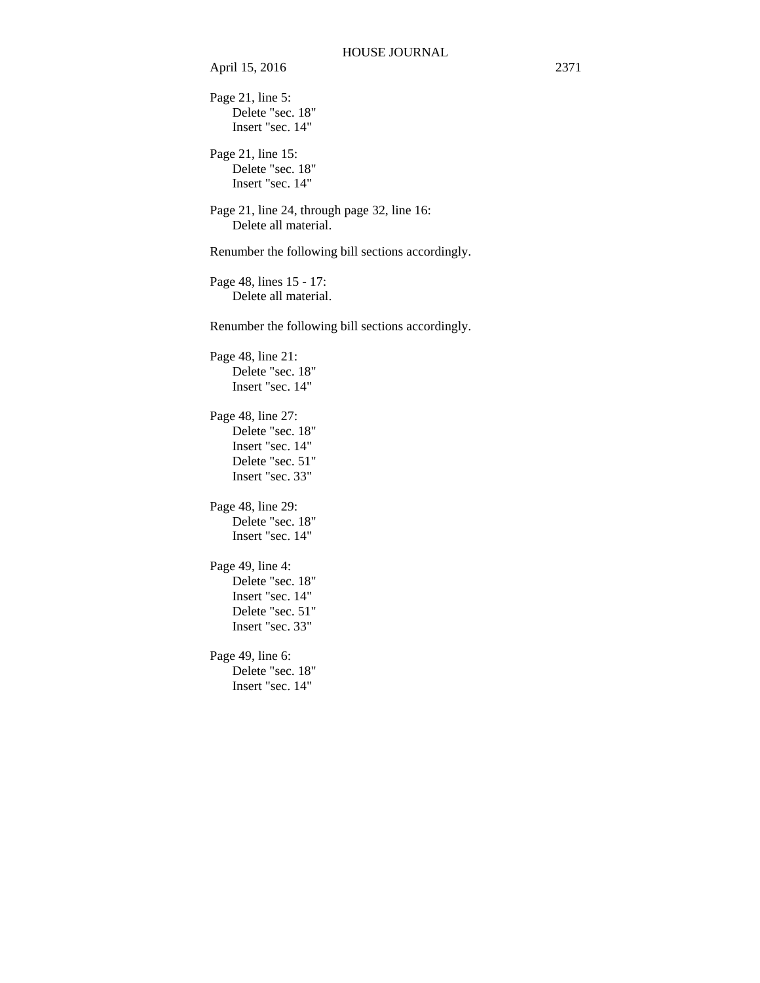Page 21, line 5: Delete "sec. 18" Insert "sec. 14"

Page 21, line 15: Delete "sec. 18" Insert "sec. 14"

Page 21, line 24, through page 32, line 16: Delete all material.

Renumber the following bill sections accordingly.

Page 48, lines 15 - 17: Delete all material.

Renumber the following bill sections accordingly.

Page 48, line 21: Delete "sec. 18" Insert "sec. 14"

Page 48, line 27: Delete "sec. 18" Insert "sec. 14" Delete "sec. 51"

Insert "sec. 33" Page 48, line 29:

Delete "sec. 18" Insert "sec. 14"

Page 49, line 4: Delete "sec. 18" Insert "sec. 14" Delete "sec. 51" Insert "sec. 33"

Page 49, line 6: Delete "sec. 18" Insert "sec. 14"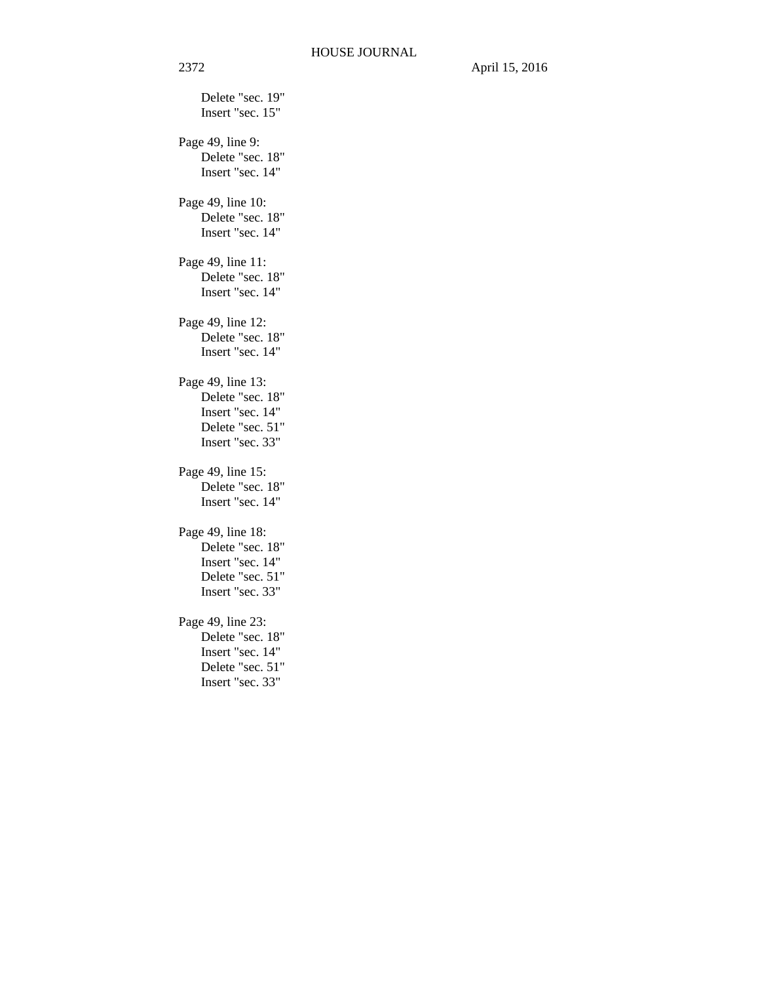Delete "sec. 19" Insert "sec. 15" Page 49, line 9: Delete "sec. 18" Insert "sec. 14" Page 49, line 10: Delete "sec. 18" Insert "sec. 14" Page 49, line 11: Delete "sec. 18" Insert "sec. 14" Page 49, line 12: Delete "sec. 18" Insert "sec. 14" Page 49, line 13: Delete "sec. 18" Insert "sec. 14" Delete "sec. 51" Insert "sec. 33" Page 49, line 15: Delete "sec. 18" Insert "sec. 14" Page 49, line 18: Delete "sec. 18" Insert "sec. 14" Delete "sec. 51" Insert "sec. 33" Page 49, line 23: Delete "sec. 18" Insert "sec. 14" Delete "sec. 51" Insert "sec. 33"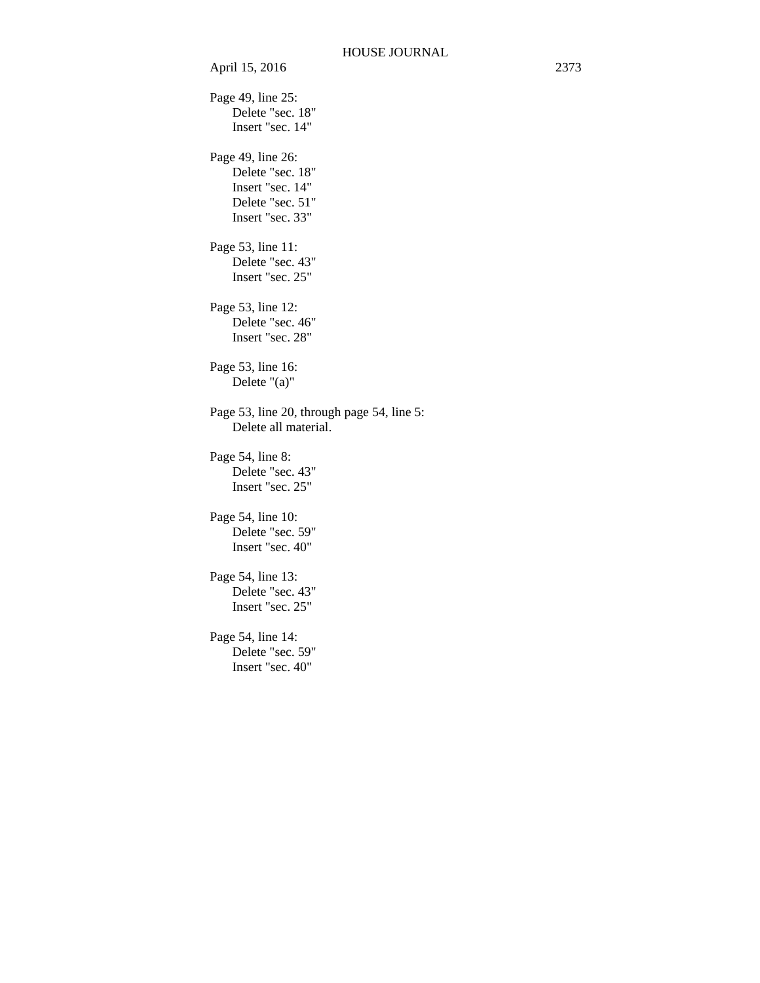April 15, 2016 2373 Page 49, line 25: Delete "sec. 18" Insert "sec. 14" Page 49, line 26: Delete "sec. 18" Insert "sec. 14" Delete "sec. 51" Insert "sec. 33" Page 53, line 11: Delete "sec. 43" Insert "sec. 25" Page 53, line 12: Delete "sec. 46" Insert "sec. 28" Page 53, line 16: Delete "(a)" Page 53, line 20, through page 54, line 5: Delete all material. Page 54, line 8: Delete "sec. 43" Insert "sec. 25" Page 54, line 10: Delete "sec. 59" Insert "sec. 40" Page 54, line 13: Delete "sec. 43" Insert "sec. 25" Page 54, line 14: Delete "sec. 59" Insert "sec. 40"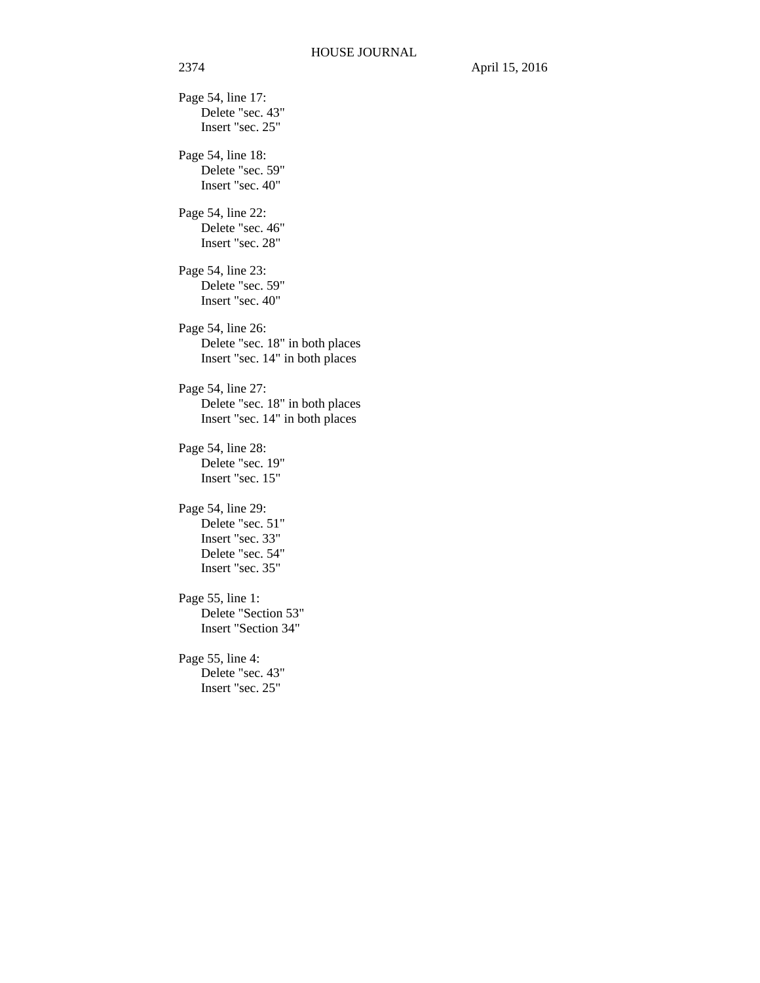Page 54, line 17: Delete "sec. 43" Insert "sec. 25" Page 54, line 18: Delete "sec. 59" Insert "sec. 40" Page 54, line 22: Delete "sec. 46" Insert "sec. 28" Page 54, line 23: Delete "sec. 59" Insert "sec. 40" Page 54, line 26: Delete "sec. 18" in both places Insert "sec. 14" in both places Page 54, line 27: Delete "sec. 18" in both places Insert "sec. 14" in both places Page 54, line 28: Delete "sec. 19" Insert "sec. 15" Page 54, line 29: Delete "sec. 51" Insert "sec. 33" Delete "sec. 54" Insert "sec. 35" Page 55, line 1: Delete "Section 53" Insert "Section 34" Page 55, line 4: Delete "sec. 43" Insert "sec. 25"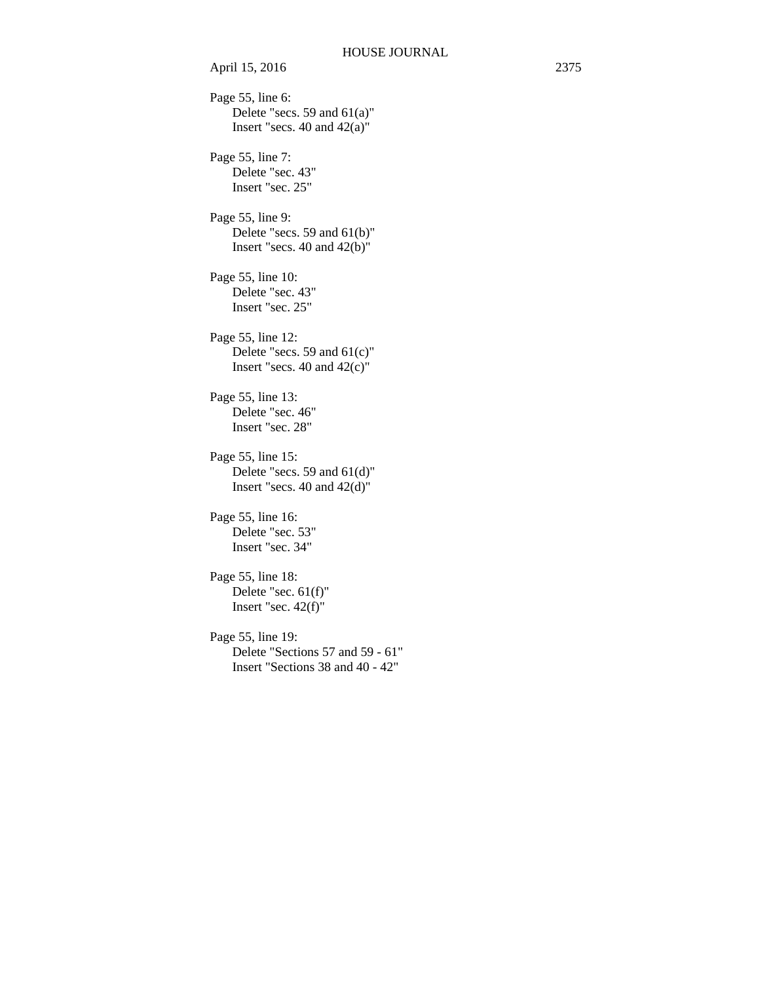Page 55, line 6: Delete "secs. 59 and  $61(a)$ " Insert "secs. 40 and 42(a)" Page 55, line 7: Delete "sec. 43" Insert "sec. 25" Page 55, line 9: Delete "secs. 59 and 61(b)" Insert "secs. 40 and 42(b)" Page 55, line 10: Delete "sec. 43" Insert "sec. 25" Page 55, line 12: Delete "secs. 59 and 61(c)" Insert "secs. 40 and 42(c)" Page 55, line 13: Delete "sec. 46" Insert "sec. 28" Page 55, line 15: Delete "secs. 59 and 61(d)" Insert "secs. 40 and 42(d)" Page 55, line 16: Delete "sec. 53" Insert "sec. 34" Page 55, line 18: Delete "sec. 61(f)" Insert "sec. 42(f)" Page 55, line 19: Delete "Sections 57 and 59 - 61" Insert "Sections 38 and 40 - 42"

April 15, 2016 2375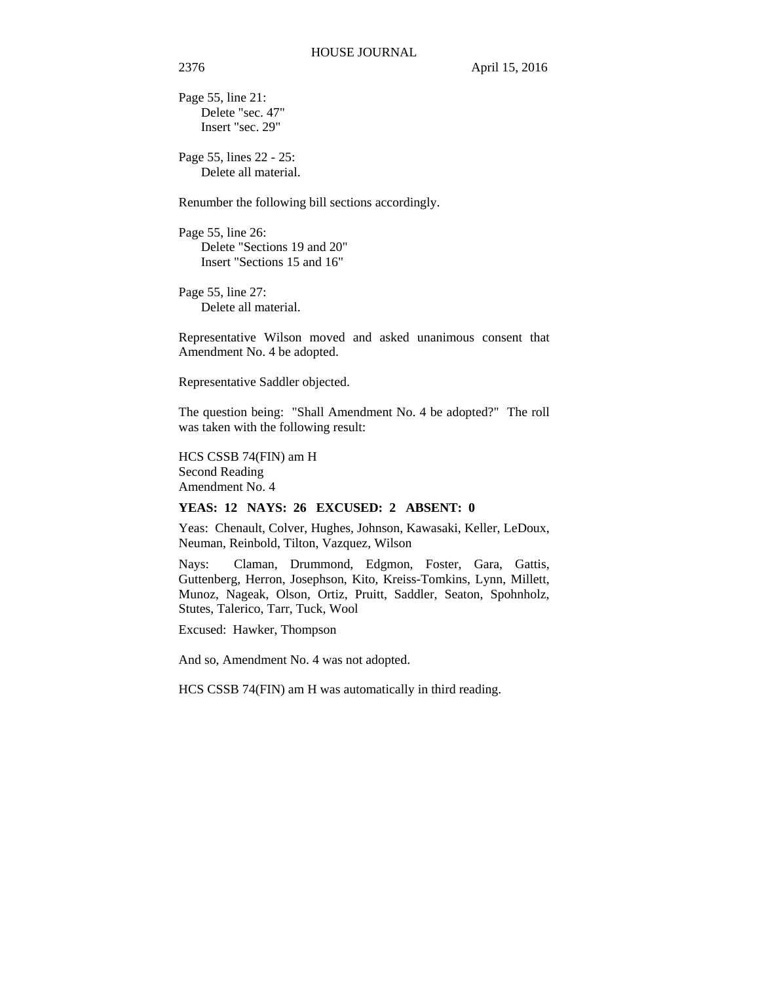Page 55, line 21: Delete "sec. 47" Insert "sec. 29"

Page 55, lines 22 - 25: Delete all material.

Renumber the following bill sections accordingly.

Page 55, line 26: Delete "Sections 19 and 20" Insert "Sections 15 and 16"

Page 55, line 27: Delete all material.

Representative Wilson moved and asked unanimous consent that Amendment No. 4 be adopted.

Representative Saddler objected.

The question being: "Shall Amendment No. 4 be adopted?" The roll was taken with the following result:

HCS CSSB 74(FIN) am H Second Reading Amendment No. 4

# **YEAS: 12 NAYS: 26 EXCUSED: 2 ABSENT: 0**

Yeas: Chenault, Colver, Hughes, Johnson, Kawasaki, Keller, LeDoux, Neuman, Reinbold, Tilton, Vazquez, Wilson

Nays: Claman, Drummond, Edgmon, Foster, Gara, Gattis, Guttenberg, Herron, Josephson, Kito, Kreiss-Tomkins, Lynn, Millett, Munoz, Nageak, Olson, Ortiz, Pruitt, Saddler, Seaton, Spohnholz, Stutes, Talerico, Tarr, Tuck, Wool

Excused: Hawker, Thompson

And so, Amendment No. 4 was not adopted.

HCS CSSB 74(FIN) am H was automatically in third reading.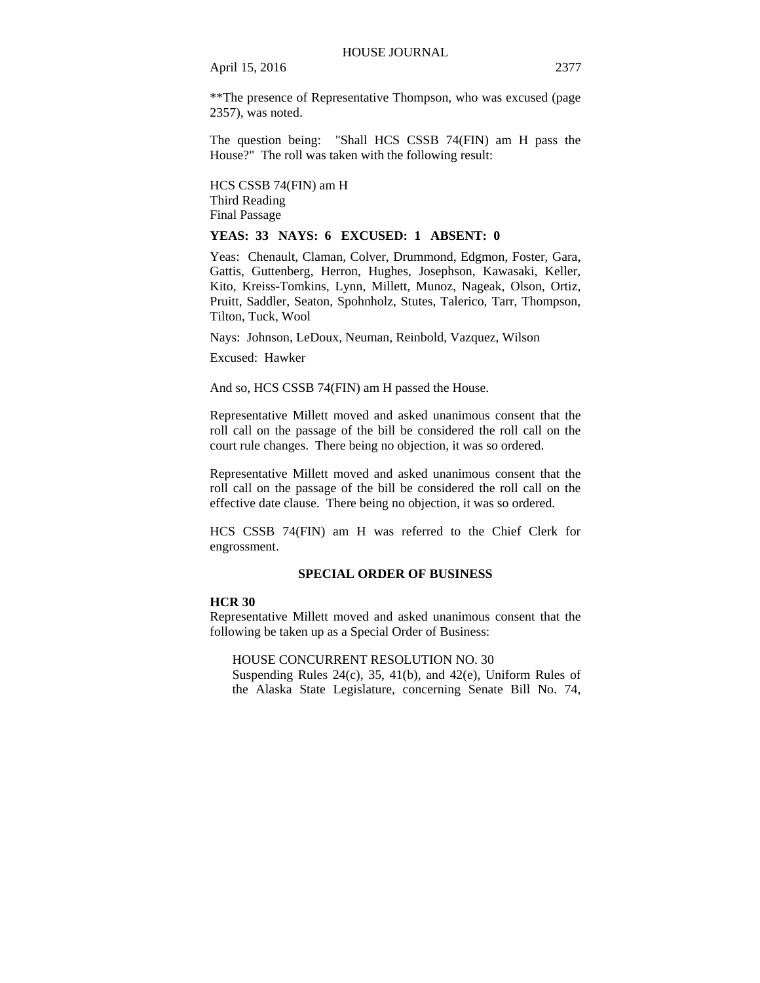\*\*The presence of Representative Thompson, who was excused (page 2357), was noted.

The question being: "Shall HCS CSSB 74(FIN) am H pass the House?" The roll was taken with the following result:

HCS CSSB 74(FIN) am H Third Reading Final Passage

# **YEAS: 33 NAYS: 6 EXCUSED: 1 ABSENT: 0**

Yeas: Chenault, Claman, Colver, Drummond, Edgmon, Foster, Gara, Gattis, Guttenberg, Herron, Hughes, Josephson, Kawasaki, Keller, Kito, Kreiss-Tomkins, Lynn, Millett, Munoz, Nageak, Olson, Ortiz, Pruitt, Saddler, Seaton, Spohnholz, Stutes, Talerico, Tarr, Thompson, Tilton, Tuck, Wool

Nays: Johnson, LeDoux, Neuman, Reinbold, Vazquez, Wilson

Excused: Hawker

And so, HCS CSSB 74(FIN) am H passed the House.

Representative Millett moved and asked unanimous consent that the roll call on the passage of the bill be considered the roll call on the court rule changes. There being no objection, it was so ordered.

Representative Millett moved and asked unanimous consent that the roll call on the passage of the bill be considered the roll call on the effective date clause. There being no objection, it was so ordered.

HCS CSSB 74(FIN) am H was referred to the Chief Clerk for engrossment.

# **SPECIAL ORDER OF BUSINESS**

# **HCR 30**

Representative Millett moved and asked unanimous consent that the following be taken up as a Special Order of Business:

HOUSE CONCURRENT RESOLUTION NO. 30

Suspending Rules 24(c), 35, 41(b), and 42(e), Uniform Rules of the Alaska State Legislature, concerning Senate Bill No. 74,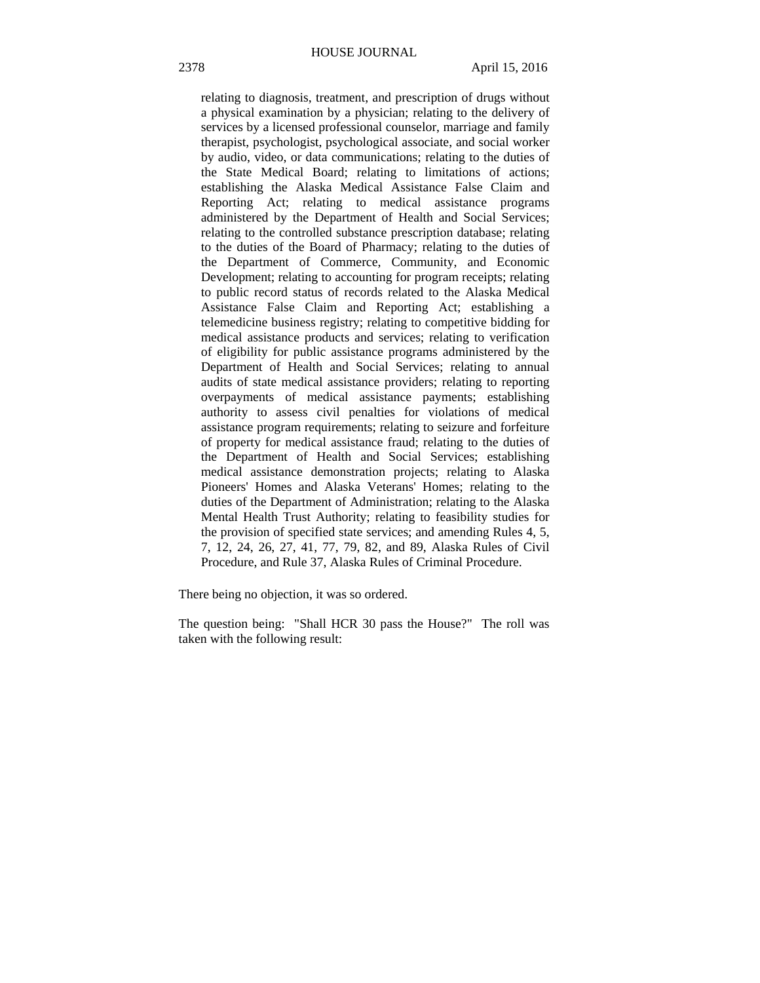relating to diagnosis, treatment, and prescription of drugs without a physical examination by a physician; relating to the delivery of services by a licensed professional counselor, marriage and family therapist, psychologist, psychological associate, and social worker by audio, video, or data communications; relating to the duties of the State Medical Board; relating to limitations of actions; establishing the Alaska Medical Assistance False Claim and Reporting Act; relating to medical assistance programs administered by the Department of Health and Social Services; relating to the controlled substance prescription database; relating to the duties of the Board of Pharmacy; relating to the duties of the Department of Commerce, Community, and Economic Development; relating to accounting for program receipts; relating to public record status of records related to the Alaska Medical Assistance False Claim and Reporting Act; establishing a telemedicine business registry; relating to competitive bidding for medical assistance products and services; relating to verification of eligibility for public assistance programs administered by the Department of Health and Social Services; relating to annual audits of state medical assistance providers; relating to reporting overpayments of medical assistance payments; establishing authority to assess civil penalties for violations of medical assistance program requirements; relating to seizure and forfeiture of property for medical assistance fraud; relating to the duties of the Department of Health and Social Services; establishing medical assistance demonstration projects; relating to Alaska Pioneers' Homes and Alaska Veterans' Homes; relating to the duties of the Department of Administration; relating to the Alaska Mental Health Trust Authority; relating to feasibility studies for the provision of specified state services; and amending Rules 4, 5, 7, 12, 24, 26, 27, 41, 77, 79, 82, and 89, Alaska Rules of Civil Procedure, and Rule 37, Alaska Rules of Criminal Procedure.

There being no objection, it was so ordered.

The question being: "Shall HCR 30 pass the House?" The roll was taken with the following result: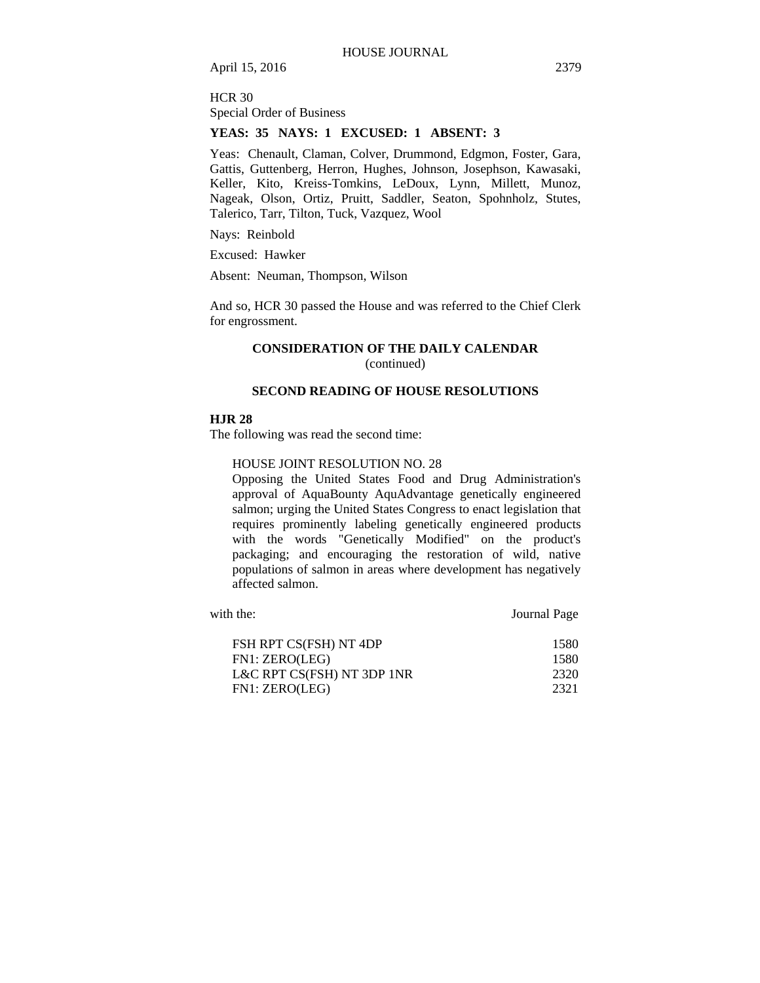HCR 30 Special Order of Business

# **YEAS: 35 NAYS: 1 EXCUSED: 1 ABSENT: 3**

Yeas: Chenault, Claman, Colver, Drummond, Edgmon, Foster, Gara, Gattis, Guttenberg, Herron, Hughes, Johnson, Josephson, Kawasaki, Keller, Kito, Kreiss-Tomkins, LeDoux, Lynn, Millett, Munoz, Nageak, Olson, Ortiz, Pruitt, Saddler, Seaton, Spohnholz, Stutes, Talerico, Tarr, Tilton, Tuck, Vazquez, Wool

Nays: Reinbold

Excused: Hawker

Absent: Neuman, Thompson, Wilson

And so, HCR 30 passed the House and was referred to the Chief Clerk for engrossment.

# **CONSIDERATION OF THE DAILY CALENDAR**  (continued)

# **SECOND READING OF HOUSE RESOLUTIONS**

#### **HJR 28**

The following was read the second time:

# HOUSE JOINT RESOLUTION NO. 28

Opposing the United States Food and Drug Administration's approval of AquaBounty AquAdvantage genetically engineered salmon; urging the United States Congress to enact legislation that requires prominently labeling genetically engineered products with the words "Genetically Modified" on the product's packaging; and encouraging the restoration of wild, native populations of salmon in areas where development has negatively affected salmon.

with the: **Journal Page** FSH RPT CS(FSH) NT 4DP 1580 FN1: ZERO(LEG) 1580 L&C RPT CS(FSH) NT 3DP 1NR 2320 FN1: ZERO(LEG) 2321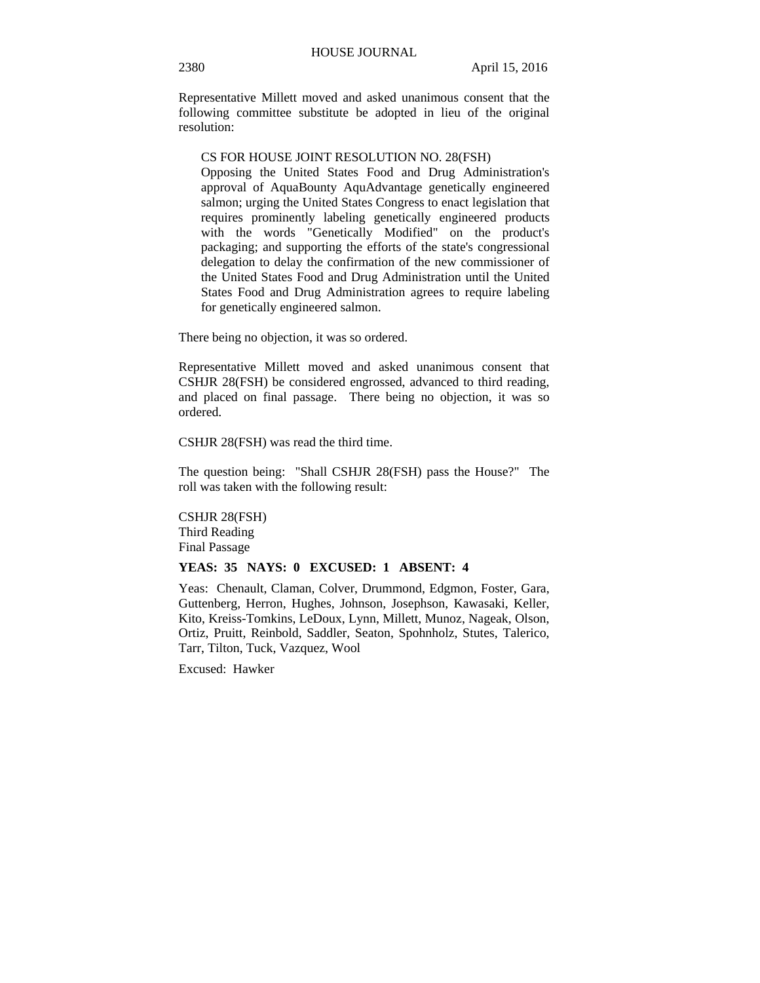Representative Millett moved and asked unanimous consent that the following committee substitute be adopted in lieu of the original resolution:

## CS FOR HOUSE JOINT RESOLUTION NO. 28(FSH)

Opposing the United States Food and Drug Administration's approval of AquaBounty AquAdvantage genetically engineered salmon; urging the United States Congress to enact legislation that requires prominently labeling genetically engineered products with the words "Genetically Modified" on the product's packaging; and supporting the efforts of the state's congressional delegation to delay the confirmation of the new commissioner of the United States Food and Drug Administration until the United States Food and Drug Administration agrees to require labeling for genetically engineered salmon.

There being no objection, it was so ordered.

Representative Millett moved and asked unanimous consent that CSHJR 28(FSH) be considered engrossed, advanced to third reading, and placed on final passage. There being no objection, it was so ordered.

CSHJR 28(FSH) was read the third time.

The question being: "Shall CSHJR 28(FSH) pass the House?" The roll was taken with the following result:

CSHJR 28(FSH) Third Reading Final Passage

### **YEAS: 35 NAYS: 0 EXCUSED: 1 ABSENT: 4**

Yeas: Chenault, Claman, Colver, Drummond, Edgmon, Foster, Gara, Guttenberg, Herron, Hughes, Johnson, Josephson, Kawasaki, Keller, Kito, Kreiss-Tomkins, LeDoux, Lynn, Millett, Munoz, Nageak, Olson, Ortiz, Pruitt, Reinbold, Saddler, Seaton, Spohnholz, Stutes, Talerico, Tarr, Tilton, Tuck, Vazquez, Wool

Excused: Hawker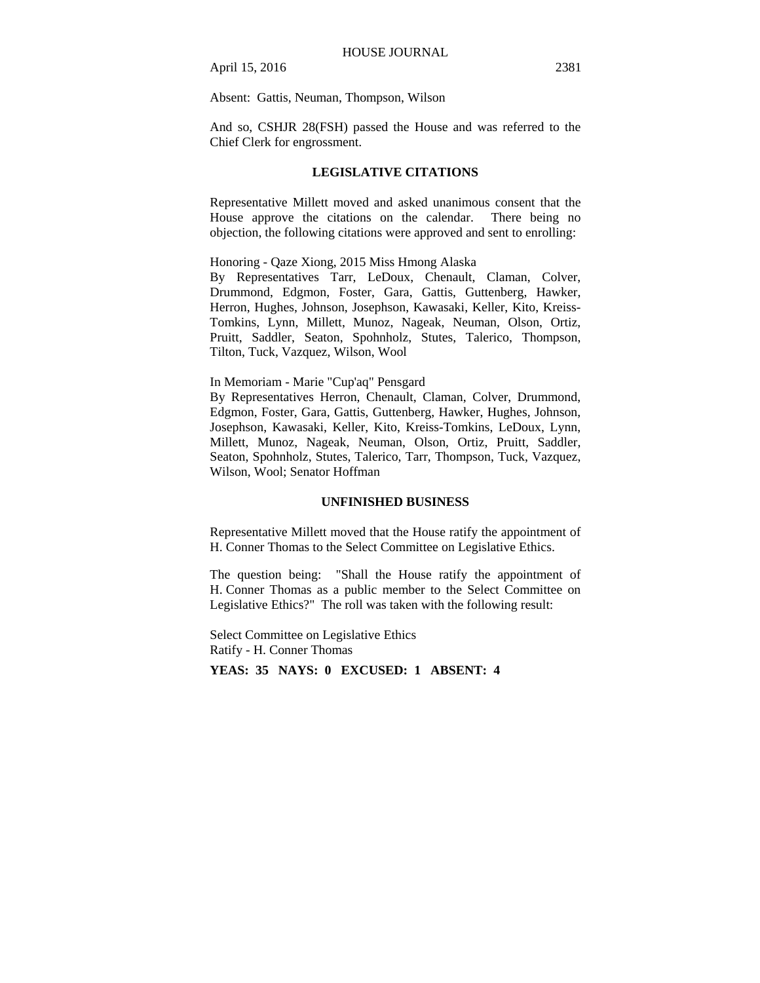Absent: Gattis, Neuman, Thompson, Wilson

And so, CSHJR 28(FSH) passed the House and was referred to the Chief Clerk for engrossment.

# **LEGISLATIVE CITATIONS**

Representative Millett moved and asked unanimous consent that the House approve the citations on the calendar. There being no objection, the following citations were approved and sent to enrolling:

Honoring - Qaze Xiong, 2015 Miss Hmong Alaska

By Representatives Tarr, LeDoux, Chenault, Claman, Colver, Drummond, Edgmon, Foster, Gara, Gattis, Guttenberg, Hawker, Herron, Hughes, Johnson, Josephson, Kawasaki, Keller, Kito, Kreiss-Tomkins, Lynn, Millett, Munoz, Nageak, Neuman, Olson, Ortiz, Pruitt, Saddler, Seaton, Spohnholz, Stutes, Talerico, Thompson, Tilton, Tuck, Vazquez, Wilson, Wool

# In Memoriam - Marie "Cup'aq" Pensgard

By Representatives Herron, Chenault, Claman, Colver, Drummond, Edgmon, Foster, Gara, Gattis, Guttenberg, Hawker, Hughes, Johnson, Josephson, Kawasaki, Keller, Kito, Kreiss-Tomkins, LeDoux, Lynn, Millett, Munoz, Nageak, Neuman, Olson, Ortiz, Pruitt, Saddler, Seaton, Spohnholz, Stutes, Talerico, Tarr, Thompson, Tuck, Vazquez, Wilson, Wool; Senator Hoffman

#### **UNFINISHED BUSINESS**

Representative Millett moved that the House ratify the appointment of H. Conner Thomas to the Select Committee on Legislative Ethics.

The question being: "Shall the House ratify the appointment of H. Conner Thomas as a public member to the Select Committee on Legislative Ethics?" The roll was taken with the following result:

Select Committee on Legislative Ethics Ratify - H. Conner Thomas

**YEAS: 35 NAYS: 0 EXCUSED: 1 ABSENT: 4**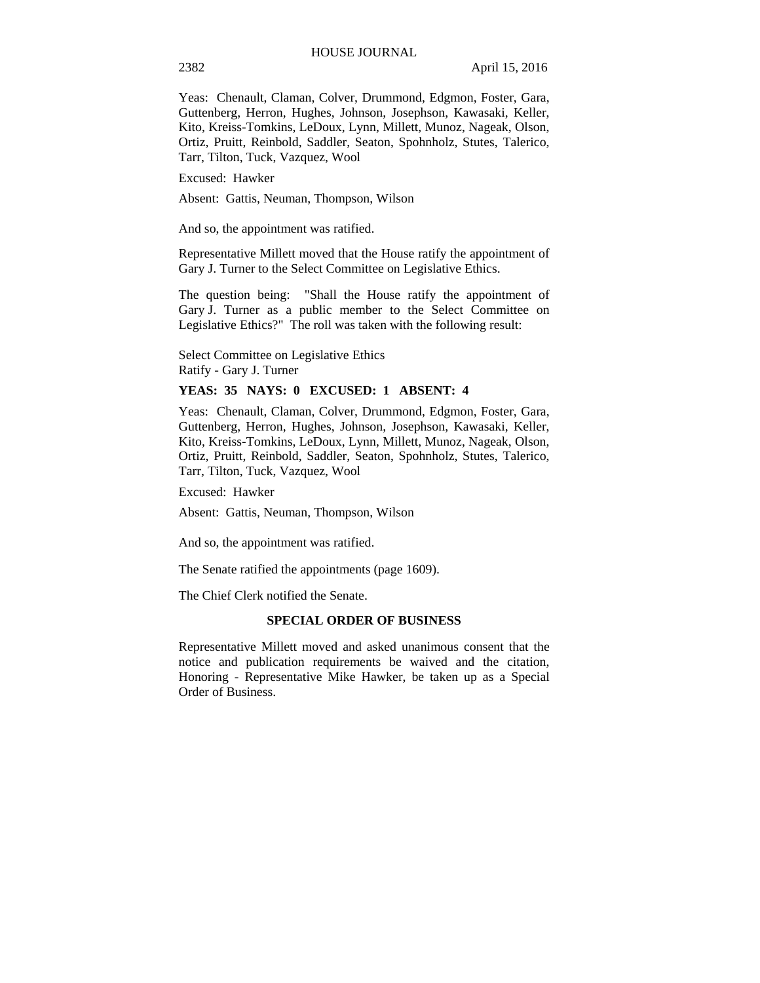Yeas: Chenault, Claman, Colver, Drummond, Edgmon, Foster, Gara, Guttenberg, Herron, Hughes, Johnson, Josephson, Kawasaki, Keller, Kito, Kreiss-Tomkins, LeDoux, Lynn, Millett, Munoz, Nageak, Olson, Ortiz, Pruitt, Reinbold, Saddler, Seaton, Spohnholz, Stutes, Talerico, Tarr, Tilton, Tuck, Vazquez, Wool

Excused: Hawker

Absent: Gattis, Neuman, Thompson, Wilson

And so, the appointment was ratified.

Representative Millett moved that the House ratify the appointment of Gary J. Turner to the Select Committee on Legislative Ethics.

The question being: "Shall the House ratify the appointment of Gary J. Turner as a public member to the Select Committee on Legislative Ethics?" The roll was taken with the following result:

Select Committee on Legislative Ethics Ratify - Gary J. Turner

# **YEAS: 35 NAYS: 0 EXCUSED: 1 ABSENT: 4**

Yeas: Chenault, Claman, Colver, Drummond, Edgmon, Foster, Gara, Guttenberg, Herron, Hughes, Johnson, Josephson, Kawasaki, Keller, Kito, Kreiss-Tomkins, LeDoux, Lynn, Millett, Munoz, Nageak, Olson, Ortiz, Pruitt, Reinbold, Saddler, Seaton, Spohnholz, Stutes, Talerico, Tarr, Tilton, Tuck, Vazquez, Wool

Excused: Hawker

Absent: Gattis, Neuman, Thompson, Wilson

And so, the appointment was ratified.

The Senate ratified the appointments (page 1609).

The Chief Clerk notified the Senate.

#### **SPECIAL ORDER OF BUSINESS**

Representative Millett moved and asked unanimous consent that the notice and publication requirements be waived and the citation, Honoring - Representative Mike Hawker, be taken up as a Special Order of Business.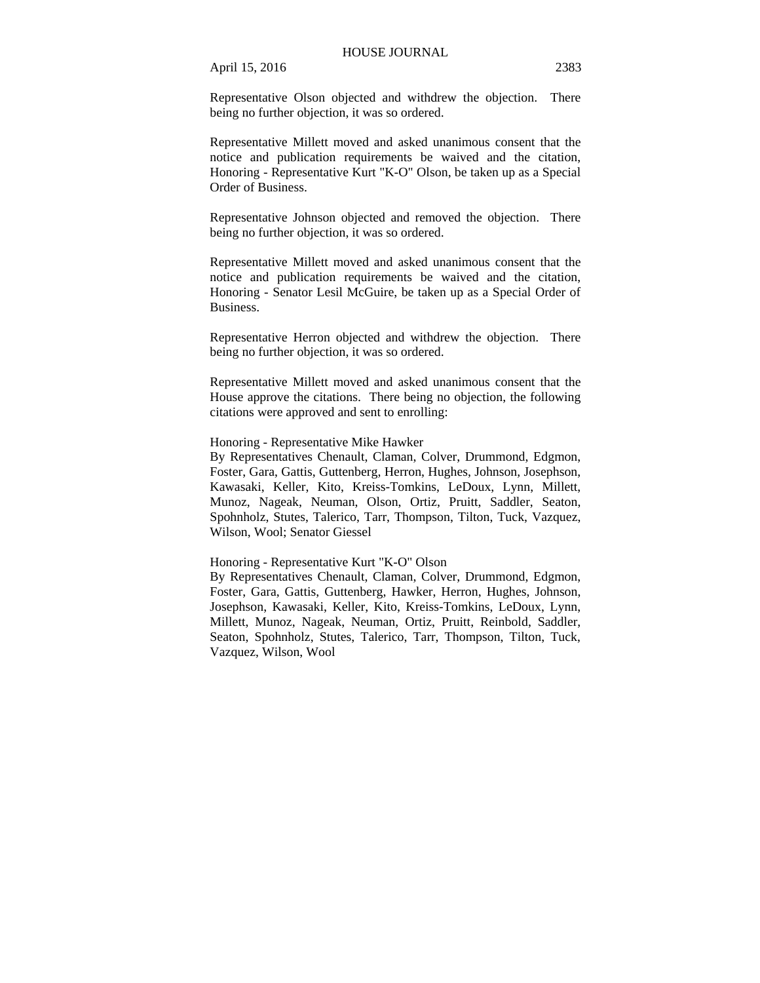Representative Olson objected and withdrew the objection. There being no further objection, it was so ordered.

Representative Millett moved and asked unanimous consent that the notice and publication requirements be waived and the citation, Honoring - Representative Kurt "K-O" Olson, be taken up as a Special Order of Business.

Representative Johnson objected and removed the objection. There being no further objection, it was so ordered.

Representative Millett moved and asked unanimous consent that the notice and publication requirements be waived and the citation, Honoring - Senator Lesil McGuire, be taken up as a Special Order of Business.

Representative Herron objected and withdrew the objection. There being no further objection, it was so ordered.

Representative Millett moved and asked unanimous consent that the House approve the citations. There being no objection, the following citations were approved and sent to enrolling:

#### Honoring - Representative Mike Hawker

By Representatives Chenault, Claman, Colver, Drummond, Edgmon, Foster, Gara, Gattis, Guttenberg, Herron, Hughes, Johnson, Josephson, Kawasaki, Keller, Kito, Kreiss-Tomkins, LeDoux, Lynn, Millett, Munoz, Nageak, Neuman, Olson, Ortiz, Pruitt, Saddler, Seaton, Spohnholz, Stutes, Talerico, Tarr, Thompson, Tilton, Tuck, Vazquez, Wilson, Wool; Senator Giessel

## Honoring - Representative Kurt "K-O" Olson

By Representatives Chenault, Claman, Colver, Drummond, Edgmon, Foster, Gara, Gattis, Guttenberg, Hawker, Herron, Hughes, Johnson, Josephson, Kawasaki, Keller, Kito, Kreiss-Tomkins, LeDoux, Lynn, Millett, Munoz, Nageak, Neuman, Ortiz, Pruitt, Reinbold, Saddler, Seaton, Spohnholz, Stutes, Talerico, Tarr, Thompson, Tilton, Tuck, Vazquez, Wilson, Wool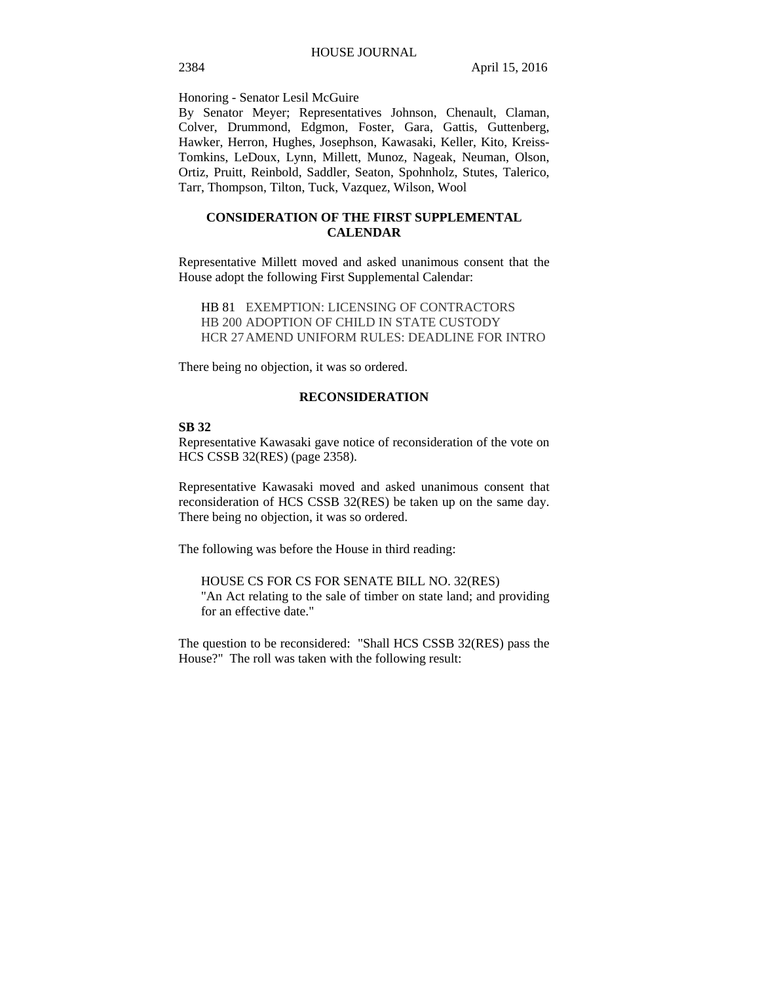Honoring - Senator Lesil McGuire

By Senator Meyer; Representatives Johnson, Chenault, Claman, Colver, Drummond, Edgmon, Foster, Gara, Gattis, Guttenberg, Hawker, Herron, Hughes, Josephson, Kawasaki, Keller, Kito, Kreiss-Tomkins, LeDoux, Lynn, Millett, Munoz, Nageak, Neuman, Olson, Ortiz, Pruitt, Reinbold, Saddler, Seaton, Spohnholz, Stutes, Talerico, Tarr, Thompson, Tilton, Tuck, Vazquez, Wilson, Wool

# **CONSIDERATION OF THE FIRST SUPPLEMENTAL CALENDAR**

Representative Millett moved and asked unanimous consent that the House adopt the following First Supplemental Calendar:

HB 81 EXEMPTION: LICENSING OF CONTRACTORS HB 200 ADOPTION OF CHILD IN STATE CUSTODY HCR 27 AMEND UNIFORM RULES: DEADLINE FOR INTRO

There being no objection, it was so ordered.

# **RECONSIDERATION**

# **SB 32**

Representative Kawasaki gave notice of reconsideration of the vote on HCS CSSB 32(RES) (page 2358).

Representative Kawasaki moved and asked unanimous consent that reconsideration of HCS CSSB 32(RES) be taken up on the same day. There being no objection, it was so ordered.

The following was before the House in third reading:

HOUSE CS FOR CS FOR SENATE BILL NO. 32(RES) "An Act relating to the sale of timber on state land; and providing for an effective date."

The question to be reconsidered: "Shall HCS CSSB 32(RES) pass the House?" The roll was taken with the following result: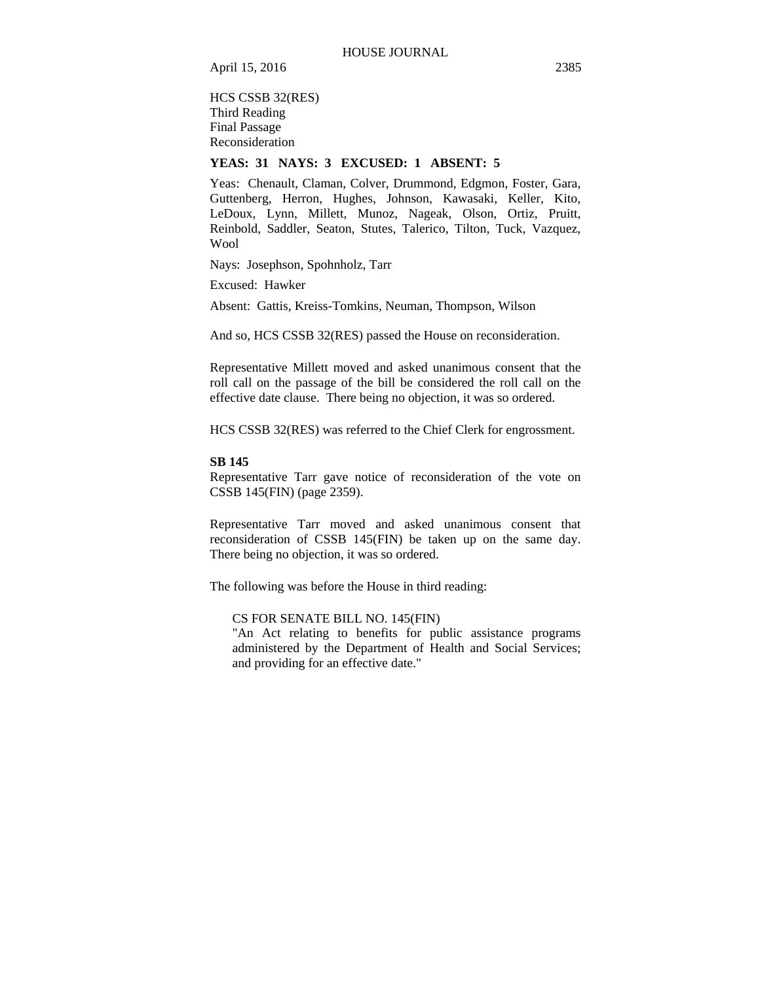HCS CSSB 32(RES) Third Reading Final Passage Reconsideration

# **YEAS: 31 NAYS: 3 EXCUSED: 1 ABSENT: 5**

Yeas: Chenault, Claman, Colver, Drummond, Edgmon, Foster, Gara, Guttenberg, Herron, Hughes, Johnson, Kawasaki, Keller, Kito, LeDoux, Lynn, Millett, Munoz, Nageak, Olson, Ortiz, Pruitt, Reinbold, Saddler, Seaton, Stutes, Talerico, Tilton, Tuck, Vazquez, Wool

Nays: Josephson, Spohnholz, Tarr

Excused: Hawker

Absent: Gattis, Kreiss-Tomkins, Neuman, Thompson, Wilson

And so, HCS CSSB 32(RES) passed the House on reconsideration.

Representative Millett moved and asked unanimous consent that the roll call on the passage of the bill be considered the roll call on the effective date clause. There being no objection, it was so ordered.

HCS CSSB 32(RES) was referred to the Chief Clerk for engrossment.

#### **SB 145**

Representative Tarr gave notice of reconsideration of the vote on CSSB 145(FIN) (page 2359).

Representative Tarr moved and asked unanimous consent that reconsideration of CSSB 145(FIN) be taken up on the same day. There being no objection, it was so ordered.

The following was before the House in third reading:

CS FOR SENATE BILL NO. 145(FIN)

"An Act relating to benefits for public assistance programs administered by the Department of Health and Social Services; and providing for an effective date."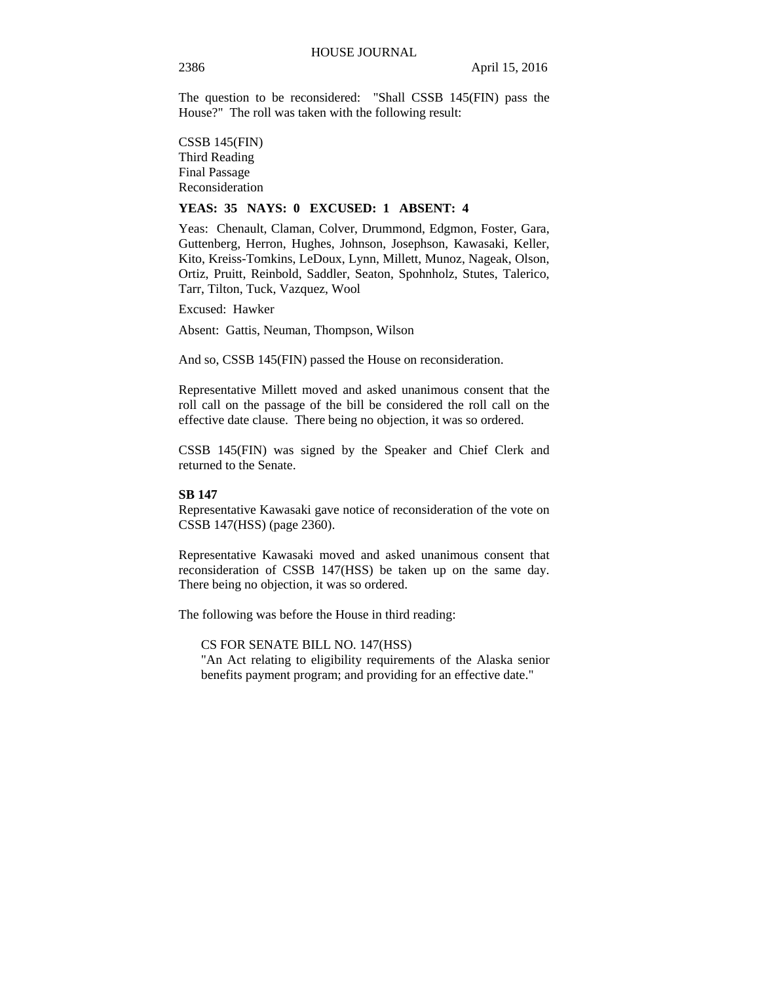The question to be reconsidered: "Shall CSSB 145(FIN) pass the House?" The roll was taken with the following result:

CSSB 145(FIN) Third Reading Final Passage Reconsideration

# **YEAS: 35 NAYS: 0 EXCUSED: 1 ABSENT: 4**

Yeas: Chenault, Claman, Colver, Drummond, Edgmon, Foster, Gara, Guttenberg, Herron, Hughes, Johnson, Josephson, Kawasaki, Keller, Kito, Kreiss-Tomkins, LeDoux, Lynn, Millett, Munoz, Nageak, Olson, Ortiz, Pruitt, Reinbold, Saddler, Seaton, Spohnholz, Stutes, Talerico, Tarr, Tilton, Tuck, Vazquez, Wool

Excused: Hawker

Absent: Gattis, Neuman, Thompson, Wilson

And so, CSSB 145(FIN) passed the House on reconsideration.

Representative Millett moved and asked unanimous consent that the roll call on the passage of the bill be considered the roll call on the effective date clause. There being no objection, it was so ordered.

CSSB 145(FIN) was signed by the Speaker and Chief Clerk and returned to the Senate.

#### **SB 147**

Representative Kawasaki gave notice of reconsideration of the vote on CSSB 147(HSS) (page 2360).

Representative Kawasaki moved and asked unanimous consent that reconsideration of CSSB 147(HSS) be taken up on the same day. There being no objection, it was so ordered.

The following was before the House in third reading:

CS FOR SENATE BILL NO. 147(HSS)

"An Act relating to eligibility requirements of the Alaska senior benefits payment program; and providing for an effective date."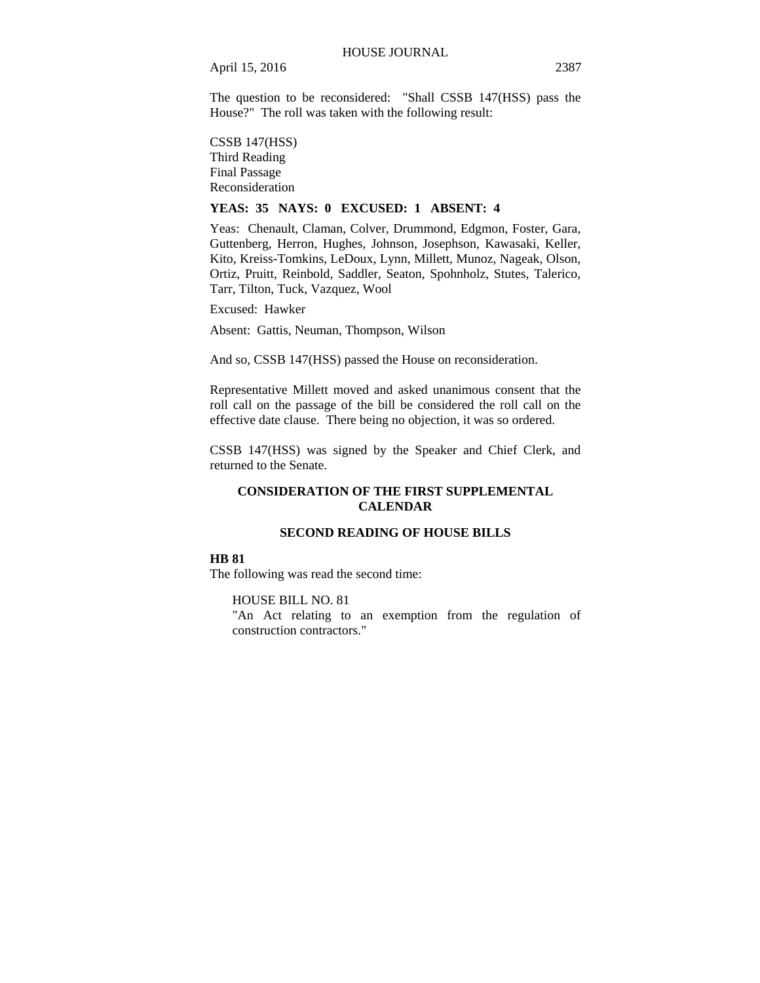The question to be reconsidered: "Shall CSSB 147(HSS) pass the House?" The roll was taken with the following result:

CSSB 147(HSS) Third Reading Final Passage Reconsideration

# **YEAS: 35 NAYS: 0 EXCUSED: 1 ABSENT: 4**

Yeas: Chenault, Claman, Colver, Drummond, Edgmon, Foster, Gara, Guttenberg, Herron, Hughes, Johnson, Josephson, Kawasaki, Keller, Kito, Kreiss-Tomkins, LeDoux, Lynn, Millett, Munoz, Nageak, Olson, Ortiz, Pruitt, Reinbold, Saddler, Seaton, Spohnholz, Stutes, Talerico, Tarr, Tilton, Tuck, Vazquez, Wool

Excused: Hawker

Absent: Gattis, Neuman, Thompson, Wilson

And so, CSSB 147(HSS) passed the House on reconsideration.

Representative Millett moved and asked unanimous consent that the roll call on the passage of the bill be considered the roll call on the effective date clause. There being no objection, it was so ordered.

CSSB 147(HSS) was signed by the Speaker and Chief Clerk, and returned to the Senate.

# **CONSIDERATION OF THE FIRST SUPPLEMENTAL CALENDAR**

# **SECOND READING OF HOUSE BILLS**

# **HB 81**

The following was read the second time:

HOUSE BILL NO. 81 "An Act relating to an exemption from the regulation of construction contractors."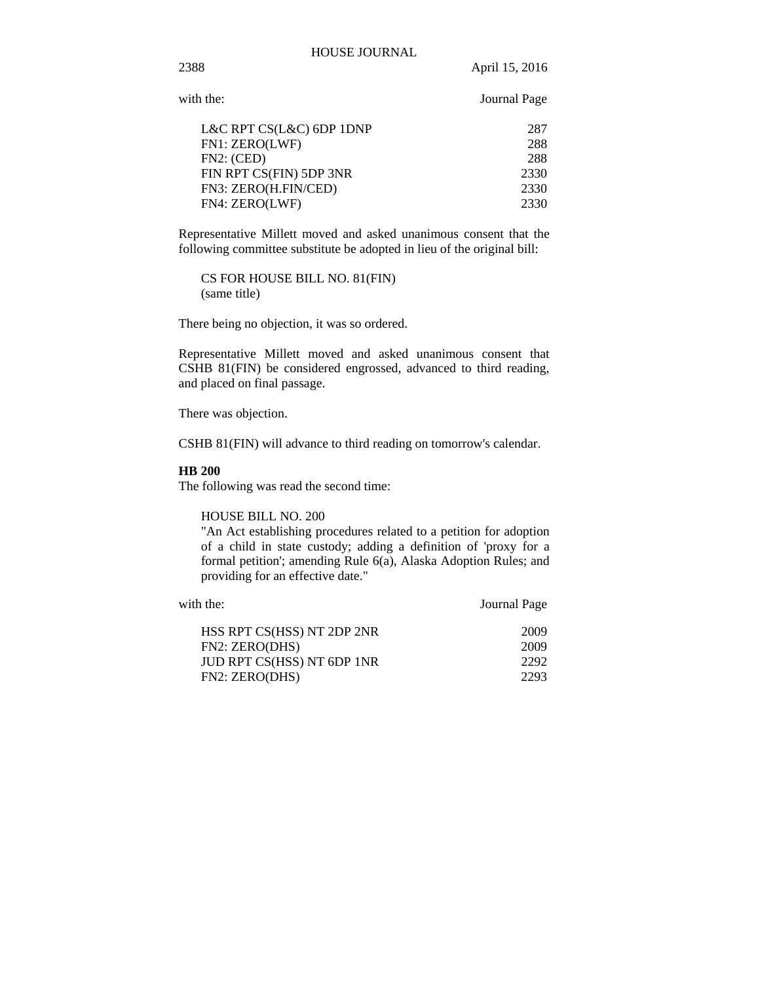2388 April 15, 2016

| with the:                | Journal Page |
|--------------------------|--------------|
| L&C RPT CS(L&C) 6DP 1DNP | 287          |
| FN1: ZERO(LWF)           | 288          |
| FN2: (CED)               | 288          |
| FIN RPT CS(FIN) 5DP 3NR  | 2330         |
| FN3: ZERO(H.FIN/CED)     | 2330         |
| FN4: ZERO(LWF)           | 2330         |

Representative Millett moved and asked unanimous consent that the following committee substitute be adopted in lieu of the original bill:

CS FOR HOUSE BILL NO. 81(FIN) (same title)

There being no objection, it was so ordered.

Representative Millett moved and asked unanimous consent that CSHB 81(FIN) be considered engrossed, advanced to third reading, and placed on final passage.

There was objection.

CSHB 81(FIN) will advance to third reading on tomorrow's calendar.

# **HB 200**

The following was read the second time:

HOUSE BILL NO. 200

"An Act establishing procedures related to a petition for adoption of a child in state custody; adding a definition of 'proxy for a formal petition'; amending Rule 6(a), Alaska Adoption Rules; and providing for an effective date."

| HSS RPT CS(HSS) NT 2DP 2NR<br>2009 |
|------------------------------------|
|                                    |
| FN2: ZERO(DHS)<br>2009             |
| JUD RPT CS(HSS) NT 6DP 1NR<br>2292 |
| FN2: ZERO(DHS)<br>2293             |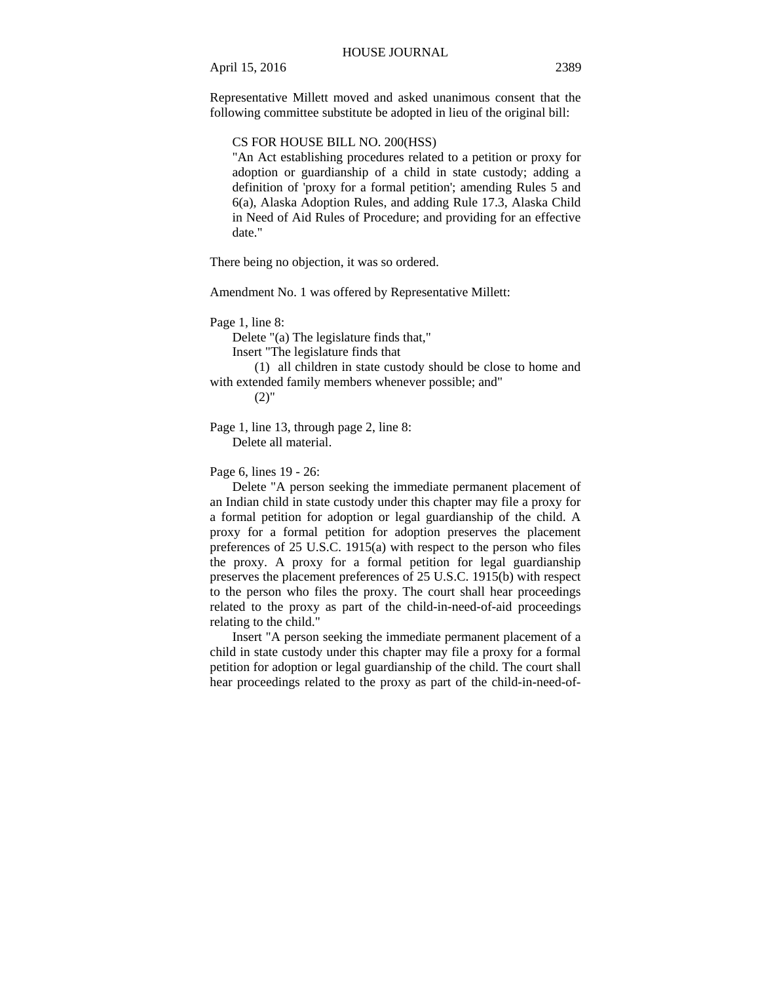Representative Millett moved and asked unanimous consent that the following committee substitute be adopted in lieu of the original bill:

# CS FOR HOUSE BILL NO. 200(HSS)

"An Act establishing procedures related to a petition or proxy for adoption or guardianship of a child in state custody; adding a definition of 'proxy for a formal petition'; amending Rules 5 and 6(a), Alaska Adoption Rules, and adding Rule 17.3, Alaska Child in Need of Aid Rules of Procedure; and providing for an effective date."

There being no objection, it was so ordered.

Amendment No. 1 was offered by Representative Millett:

Page 1, line 8:

Delete "(a) The legislature finds that,"

Insert "The legislature finds that

(1) all children in state custody should be close to home and with extended family members whenever possible; and"

 $(2)$ "

Page 1, line 13, through page 2, line 8: Delete all material.

Page 6, lines 19 - 26:

Delete "A person seeking the immediate permanent placement of an Indian child in state custody under this chapter may file a proxy for a formal petition for adoption or legal guardianship of the child. A proxy for a formal petition for adoption preserves the placement preferences of 25 U.S.C. 1915(a) with respect to the person who files the proxy. A proxy for a formal petition for legal guardianship preserves the placement preferences of 25 U.S.C. 1915(b) with respect to the person who files the proxy. The court shall hear proceedings related to the proxy as part of the child-in-need-of-aid proceedings relating to the child."

Insert "A person seeking the immediate permanent placement of a child in state custody under this chapter may file a proxy for a formal petition for adoption or legal guardianship of the child. The court shall hear proceedings related to the proxy as part of the child-in-need-of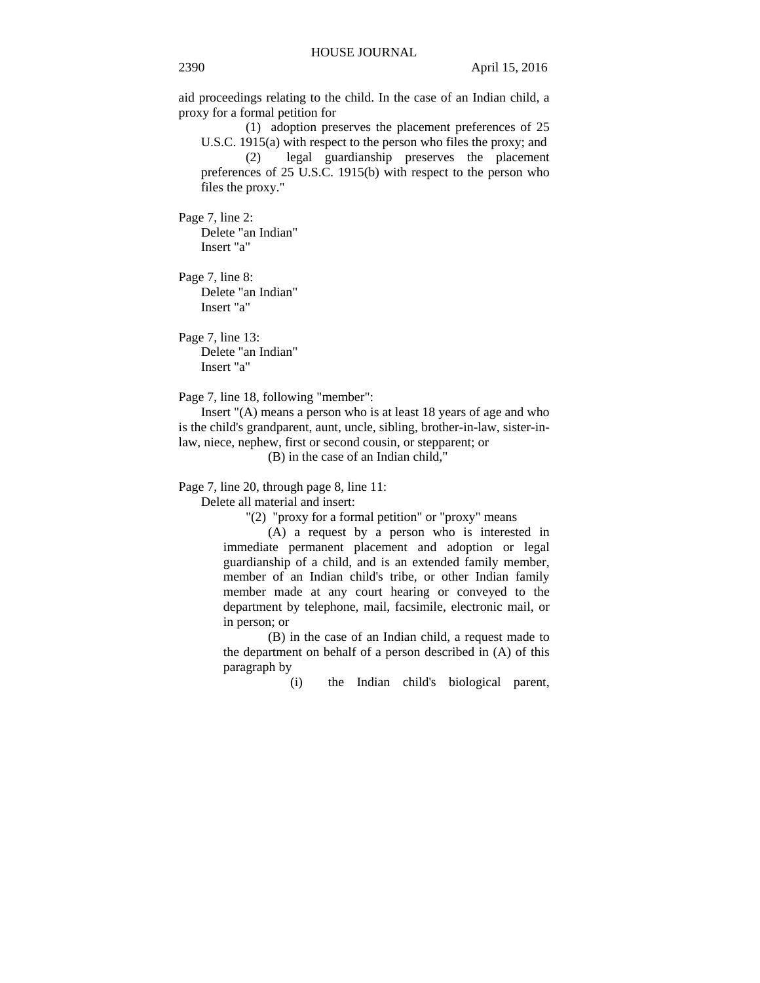aid proceedings relating to the child. In the case of an Indian child, a proxy for a formal petition for

(1) adoption preserves the placement preferences of 25 U.S.C. 1915(a) with respect to the person who files the proxy; and (2) legal guardianship preserves the placement preferences of 25 U.S.C. 1915(b) with respect to the person who files the proxy."

Page 7, line 2:

Delete "an Indian" Insert "a"

Page 7, line 8: Delete "an Indian" Insert "a"

Page 7, line 13: Delete "an Indian" Insert "a"

Page 7, line 18, following "member":

Insert "(A) means a person who is at least 18 years of age and who is the child's grandparent, aunt, uncle, sibling, brother-in-law, sister-inlaw, niece, nephew, first or second cousin, or stepparent; or

(B) in the case of an Indian child,"

Page 7, line 20, through page 8, line 11:

Delete all material and insert:

"(2) "proxy for a formal petition" or "proxy" means

(A) a request by a person who is interested in immediate permanent placement and adoption or legal guardianship of a child, and is an extended family member, member of an Indian child's tribe, or other Indian family member made at any court hearing or conveyed to the department by telephone, mail, facsimile, electronic mail, or in person; or

(B) in the case of an Indian child, a request made to the department on behalf of a person described in (A) of this paragraph by

(i) the Indian child's biological parent,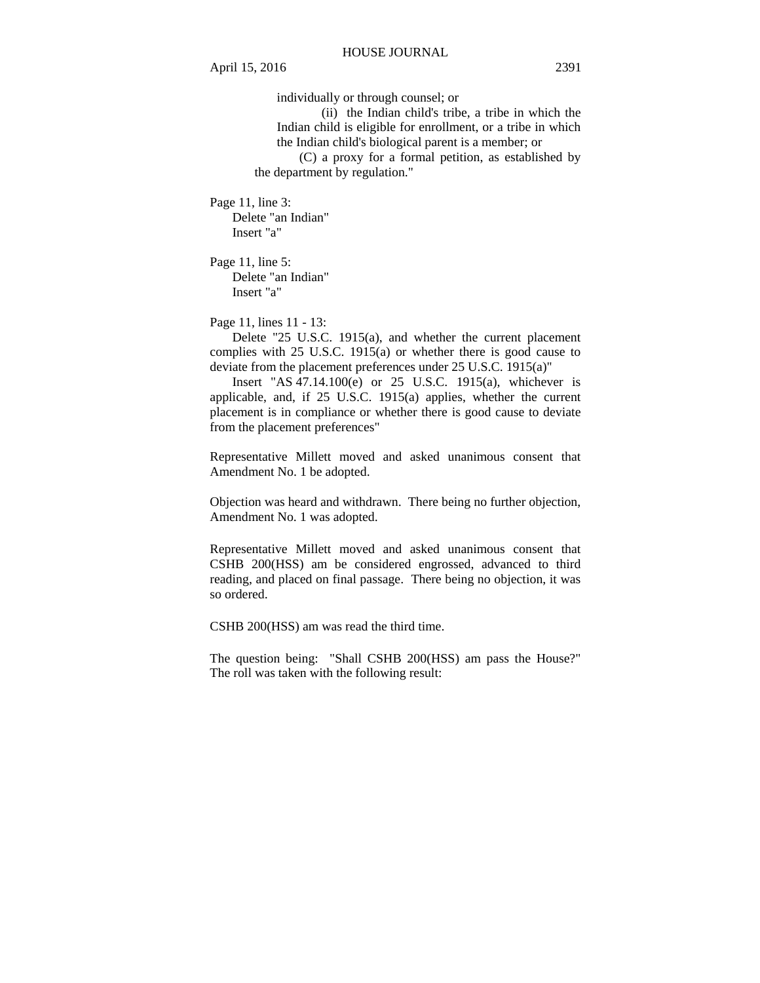individually or through counsel; or

(ii) the Indian child's tribe, a tribe in which the Indian child is eligible for enrollment, or a tribe in which the Indian child's biological parent is a member; or

(C) a proxy for a formal petition, as established by the department by regulation."

Page 11, line 3: Delete "an Indian" Insert "a"

Page 11, line 5: Delete "an Indian" Insert "a"

Page 11, lines 11 - 13:

Delete "25 U.S.C. 1915(a), and whether the current placement complies with 25 U.S.C. 1915(a) or whether there is good cause to deviate from the placement preferences under 25 U.S.C. 1915(a)"

Insert "AS 47.14.100(e) or 25 U.S.C. 1915(a), whichever is applicable, and, if 25 U.S.C. 1915(a) applies, whether the current placement is in compliance or whether there is good cause to deviate from the placement preferences"

Representative Millett moved and asked unanimous consent that Amendment No. 1 be adopted.

Objection was heard and withdrawn. There being no further objection, Amendment No. 1 was adopted.

Representative Millett moved and asked unanimous consent that CSHB 200(HSS) am be considered engrossed, advanced to third reading, and placed on final passage. There being no objection, it was so ordered.

CSHB 200(HSS) am was read the third time.

The question being: "Shall CSHB 200(HSS) am pass the House?" The roll was taken with the following result: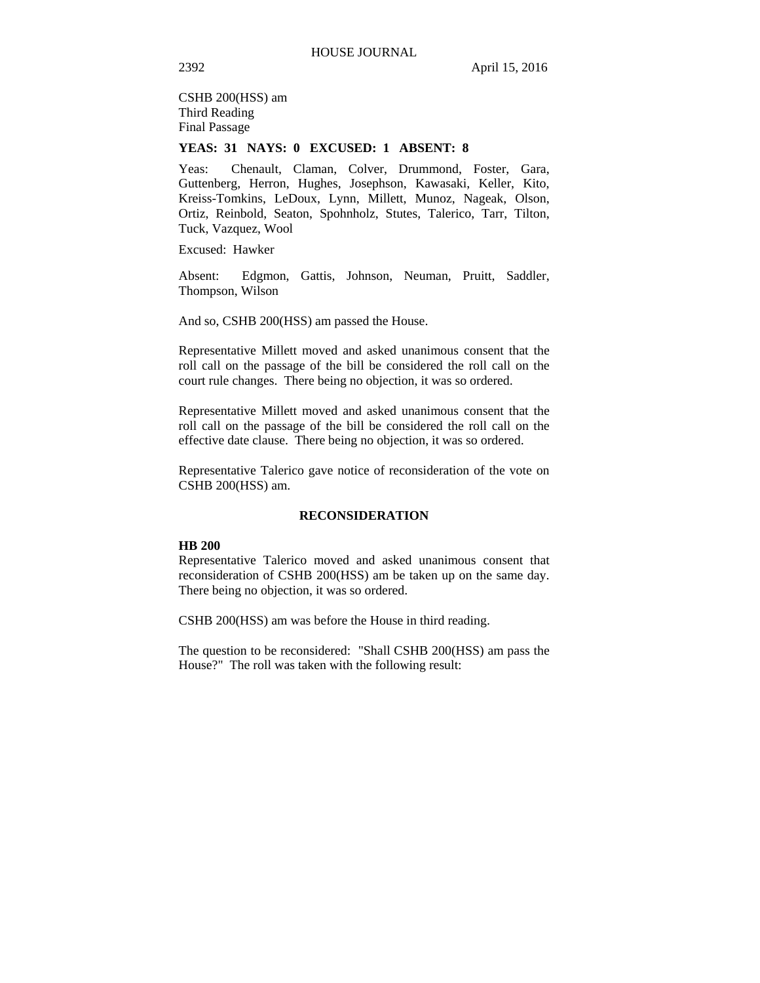CSHB 200(HSS) am Third Reading Final Passage

# **YEAS: 31 NAYS: 0 EXCUSED: 1 ABSENT: 8**

Yeas: Chenault, Claman, Colver, Drummond, Foster, Gara, Guttenberg, Herron, Hughes, Josephson, Kawasaki, Keller, Kito, Kreiss-Tomkins, LeDoux, Lynn, Millett, Munoz, Nageak, Olson, Ortiz, Reinbold, Seaton, Spohnholz, Stutes, Talerico, Tarr, Tilton, Tuck, Vazquez, Wool

Excused: Hawker

Absent: Edgmon, Gattis, Johnson, Neuman, Pruitt, Saddler, Thompson, Wilson

And so, CSHB 200(HSS) am passed the House.

Representative Millett moved and asked unanimous consent that the roll call on the passage of the bill be considered the roll call on the court rule changes. There being no objection, it was so ordered.

Representative Millett moved and asked unanimous consent that the roll call on the passage of the bill be considered the roll call on the effective date clause. There being no objection, it was so ordered.

Representative Talerico gave notice of reconsideration of the vote on CSHB 200(HSS) am.

## **RECONSIDERATION**

#### **HB 200**

Representative Talerico moved and asked unanimous consent that reconsideration of CSHB 200(HSS) am be taken up on the same day. There being no objection, it was so ordered.

CSHB 200(HSS) am was before the House in third reading.

The question to be reconsidered: "Shall CSHB 200(HSS) am pass the House?" The roll was taken with the following result: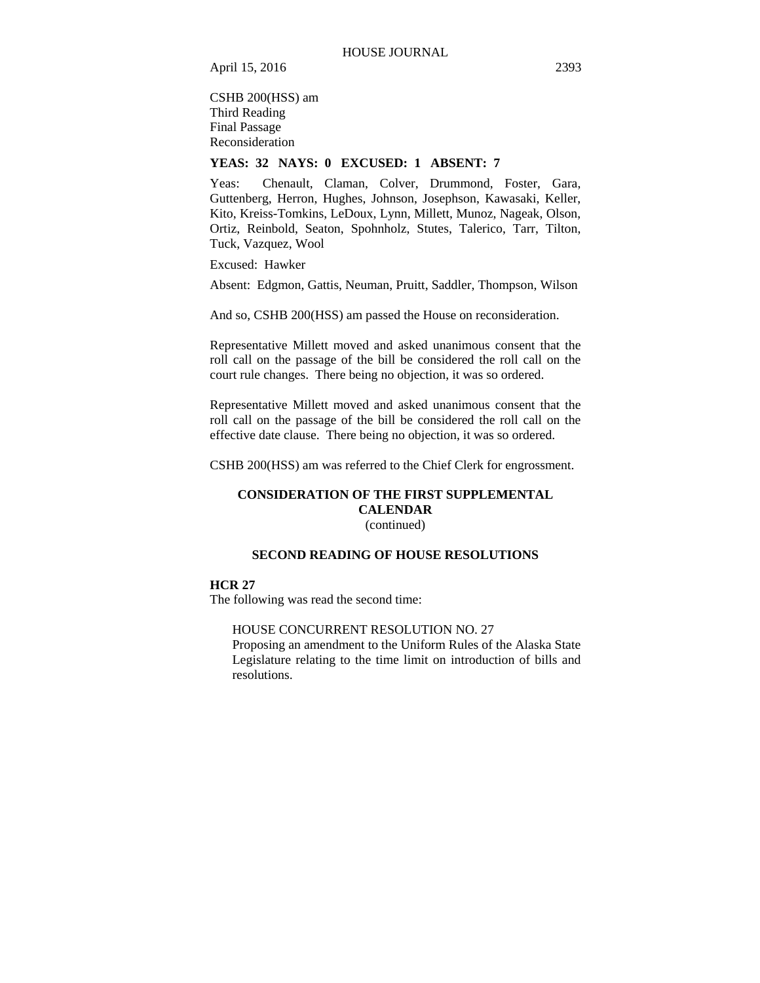CSHB 200(HSS) am Third Reading Final Passage Reconsideration

# **YEAS: 32 NAYS: 0 EXCUSED: 1 ABSENT: 7**

Yeas: Chenault, Claman, Colver, Drummond, Foster, Gara, Guttenberg, Herron, Hughes, Johnson, Josephson, Kawasaki, Keller, Kito, Kreiss-Tomkins, LeDoux, Lynn, Millett, Munoz, Nageak, Olson, Ortiz, Reinbold, Seaton, Spohnholz, Stutes, Talerico, Tarr, Tilton, Tuck, Vazquez, Wool

Excused: Hawker

Absent: Edgmon, Gattis, Neuman, Pruitt, Saddler, Thompson, Wilson

And so, CSHB 200(HSS) am passed the House on reconsideration.

Representative Millett moved and asked unanimous consent that the roll call on the passage of the bill be considered the roll call on the court rule changes. There being no objection, it was so ordered.

Representative Millett moved and asked unanimous consent that the roll call on the passage of the bill be considered the roll call on the effective date clause. There being no objection, it was so ordered.

CSHB 200(HSS) am was referred to the Chief Clerk for engrossment.

# **CONSIDERATION OF THE FIRST SUPPLEMENTAL CALENDAR**  (continued)

# **SECOND READING OF HOUSE RESOLUTIONS**

# **HCR 27**

The following was read the second time:

### HOUSE CONCURRENT RESOLUTION NO. 27

Proposing an amendment to the Uniform Rules of the Alaska State Legislature relating to the time limit on introduction of bills and resolutions.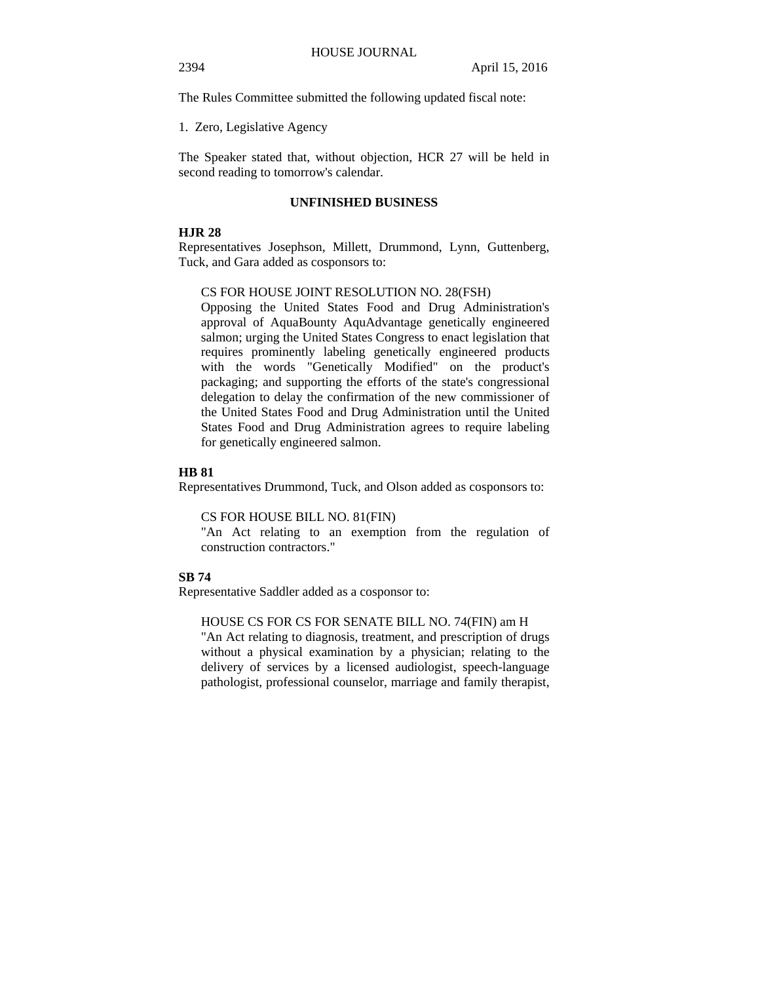The Rules Committee submitted the following updated fiscal note:

1. Zero, Legislative Agency

The Speaker stated that, without objection, HCR 27 will be held in second reading to tomorrow's calendar.

# **UNFINISHED BUSINESS**

# **HJR 28**

Representatives Josephson, Millett, Drummond, Lynn, Guttenberg, Tuck, and Gara added as cosponsors to:

#### CS FOR HOUSE JOINT RESOLUTION NO. 28(FSH)

Opposing the United States Food and Drug Administration's approval of AquaBounty AquAdvantage genetically engineered salmon; urging the United States Congress to enact legislation that requires prominently labeling genetically engineered products with the words "Genetically Modified" on the product's packaging; and supporting the efforts of the state's congressional delegation to delay the confirmation of the new commissioner of the United States Food and Drug Administration until the United States Food and Drug Administration agrees to require labeling for genetically engineered salmon.

## **HB 81**

Representatives Drummond, Tuck, and Olson added as cosponsors to:

CS FOR HOUSE BILL NO. 81(FIN)

"An Act relating to an exemption from the regulation of construction contractors."

## **SB 74**

Representative Saddler added as a cosponsor to:

# HOUSE CS FOR CS FOR SENATE BILL NO. 74(FIN) am H

"An Act relating to diagnosis, treatment, and prescription of drugs without a physical examination by a physician; relating to the delivery of services by a licensed audiologist, speech-language pathologist, professional counselor, marriage and family therapist,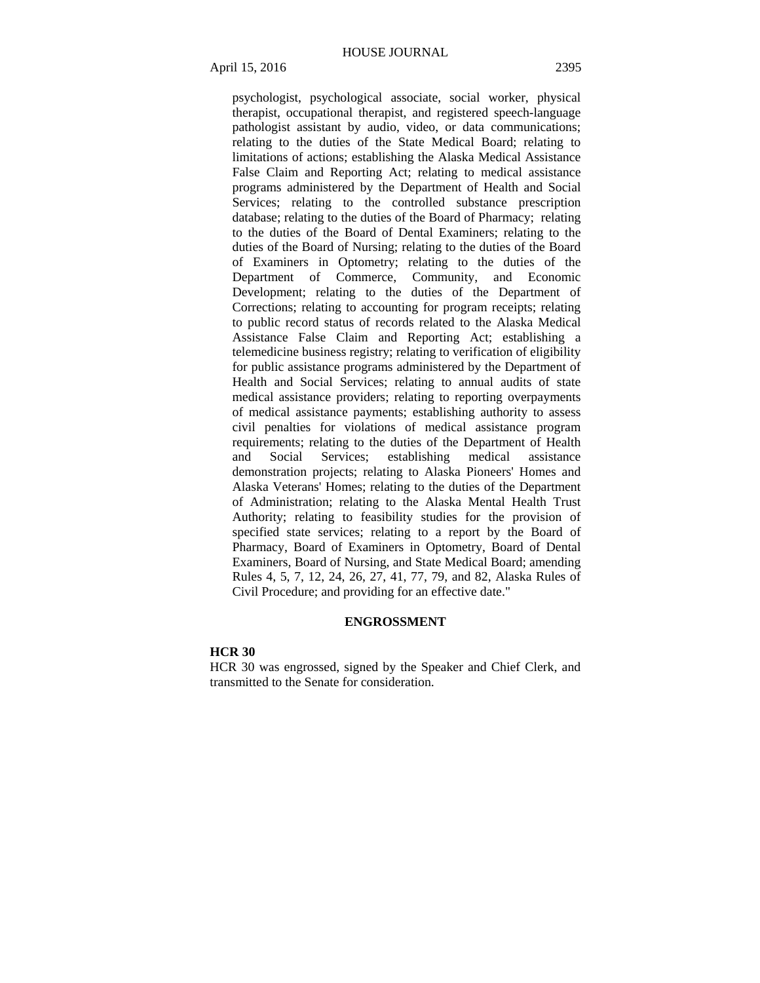psychologist, psychological associate, social worker, physical therapist, occupational therapist, and registered speech-language pathologist assistant by audio, video, or data communications; relating to the duties of the State Medical Board; relating to limitations of actions; establishing the Alaska Medical Assistance False Claim and Reporting Act; relating to medical assistance programs administered by the Department of Health and Social Services; relating to the controlled substance prescription database; relating to the duties of the Board of Pharmacy; relating to the duties of the Board of Dental Examiners; relating to the duties of the Board of Nursing; relating to the duties of the Board of Examiners in Optometry; relating to the duties of the Department of Commerce, Community, and Economic Development; relating to the duties of the Department of Corrections; relating to accounting for program receipts; relating

to public record status of records related to the Alaska Medical Assistance False Claim and Reporting Act; establishing a telemedicine business registry; relating to verification of eligibility for public assistance programs administered by the Department of Health and Social Services; relating to annual audits of state medical assistance providers; relating to reporting overpayments of medical assistance payments; establishing authority to assess civil penalties for violations of medical assistance program requirements; relating to the duties of the Department of Health and Social Services; establishing medical assistance demonstration projects; relating to Alaska Pioneers' Homes and Alaska Veterans' Homes; relating to the duties of the Department of Administration; relating to the Alaska Mental Health Trust Authority; relating to feasibility studies for the provision of specified state services; relating to a report by the Board of Pharmacy, Board of Examiners in Optometry, Board of Dental Examiners, Board of Nursing, and State Medical Board; amending Rules 4, 5, 7, 12, 24, 26, 27, 41, 77, 79, and 82, Alaska Rules of Civil Procedure; and providing for an effective date."

## **ENGROSSMENT**

#### **HCR 30**

HCR 30 was engrossed, signed by the Speaker and Chief Clerk, and transmitted to the Senate for consideration.